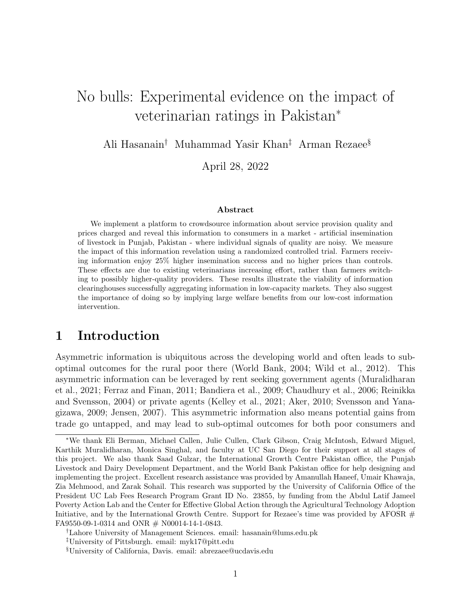# No bulls: Experimental evidence on the impact of veterinarian ratings in Pakistan<sup>∗</sup>

Ali Hasanain† Muhammad Yasir Khan‡ Arman Rezaee§

April 28, 2022

#### Abstract

We implement a platform to crowdsource information about service provision quality and prices charged and reveal this information to consumers in a market - artificial insemination of livestock in Punjab, Pakistan - where individual signals of quality are noisy. We measure the impact of this information revelation using a randomized controlled trial. Farmers receiving information enjoy 25% higher insemination success and no higher prices than controls. These effects are due to existing veterinarians increasing effort, rather than farmers switching to possibly higher-quality providers. These results illustrate the viability of information clearinghouses successfully aggregating information in low-capacity markets. They also suggest the importance of doing so by implying large welfare benefits from our low-cost information intervention.

### 1 Introduction

Asymmetric information is ubiquitous across the developing world and often leads to suboptimal outcomes for the rural poor there (World Bank, 2004; Wild et al., 2012). This asymmetric information can be leveraged by rent seeking government agents (Muralidharan et al., 2021; Ferraz and Finan, 2011; Bandiera et al., 2009; Chaudhury et al., 2006; Reinikka and Svensson, 2004) or private agents (Kelley et al., 2021; Aker, 2010; Svensson and Yanagizawa, 2009; Jensen, 2007). This asymmetric information also means potential gains from trade go untapped, and may lead to sub-optimal outcomes for both poor consumers and

<sup>∗</sup>We thank Eli Berman, Michael Callen, Julie Cullen, Clark Gibson, Craig McIntosh, Edward Miguel, Karthik Muralidharan, Monica Singhal, and faculty at UC San Diego for their support at all stages of this project. We also thank Saad Gulzar, the International Growth Centre Pakistan office, the Punjab Livestock and Dairy Development Department, and the World Bank Pakistan office for help designing and implementing the project. Excellent research assistance was provided by Amanullah Haneef, Umair Khawaja, Zia Mehmood, and Zarak Sohail. This research was supported by the University of California Office of the President UC Lab Fees Research Program Grant ID No. 23855, by funding from the Abdul Latif Jameel Poverty Action Lab and the Center for Effective Global Action through the Agricultural Technology Adoption Initiative, and by the International Growth Centre. Support for Rezaee's time was provided by AFOSR  $#$ FA9550-09-1-0314 and ONR # N00014-14-1-0843.

<sup>†</sup>Lahore University of Management Sciences. email: hasanain@lums.edu.pk

<sup>‡</sup>University of Pittsburgh. email: myk17@pitt.edu

<sup>§</sup>University of California, Davis. email: abrezaee@ucdavis.edu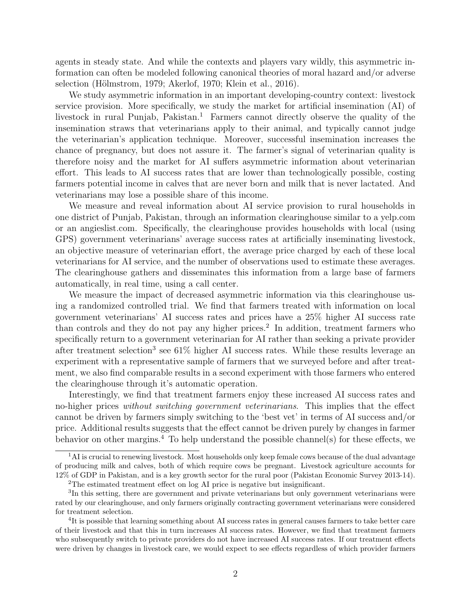agents in steady state. And while the contexts and players vary wildly, this asymmetric information can often be modeled following canonical theories of moral hazard and/or adverse selection (Hölmstrom, 1979; Akerlof, 1970; Klein et al., 2016).

We study asymmetric information in an important developing-country context: livestock service provision. More specifically, we study the market for artificial insemination (AI) of livestock in rural Punjab, Pakistan.<sup>1</sup> Farmers cannot directly observe the quality of the insemination straws that veterinarians apply to their animal, and typically cannot judge the veterinarian's application technique. Moreover, successful insemination increases the chance of pregnancy, but does not assure it. The farmer's signal of veterinarian quality is therefore noisy and the market for AI suffers asymmetric information about veterinarian effort. This leads to AI success rates that are lower than technologically possible, costing farmers potential income in calves that are never born and milk that is never lactated. And veterinarians may lose a possible share of this income.

We measure and reveal information about AI service provision to rural households in one district of Punjab, Pakistan, through an information clearinghouse similar to a yelp.com or an angieslist.com. Specifically, the clearinghouse provides households with local (using GPS) government veterinarians' average success rates at artificially inseminating livestock, an objective measure of veterinarian effort, the average price charged by each of these local veterinarians for AI service, and the number of observations used to estimate these averages. The clearinghouse gathers and disseminates this information from a large base of farmers automatically, in real time, using a call center.

We measure the impact of decreased asymmetric information via this clearinghouse using a randomized controlled trial. We find that farmers treated with information on local government veterinarians' AI success rates and prices have a 25% higher AI success rate than controls and they do not pay any higher prices.<sup>2</sup> In addition, treatment farmers who specifically return to a government veterinarian for AI rather than seeking a private provider after treatment selection<sup>3</sup> see 61% higher AI success rates. While these results leverage an experiment with a representative sample of farmers that we surveyed before and after treatment, we also find comparable results in a second experiment with those farmers who entered the clearinghouse through it's automatic operation.

Interestingly, we find that treatment farmers enjoy these increased AI success rates and no-higher prices *without switching government veterinarians*. This implies that the effect cannot be driven by farmers simply switching to the 'best vet' in terms of AI success and/or price. Additional results suggests that the effect cannot be driven purely by changes in farmer behavior on other margins.<sup>4</sup> To help understand the possible channel(s) for these effects, we

<sup>&</sup>lt;sup>1</sup>AI is crucial to renewing livestock. Most households only keep female cows because of the dual advantage of producing milk and calves, both of which require cows be pregnant. Livestock agriculture accounts for 12% of GDP in Pakistan, and is a key growth sector for the rural poor (Pakistan Economic Survey 2013-14).

<sup>2</sup>The estimated treatment effect on log AI price is negative but insignificant.

<sup>&</sup>lt;sup>3</sup>In this setting, there are government and private veterinarians but only government veterinarians were rated by our clearinghouse, and only farmers originally contracting government veterinarians were considered for treatment selection.

<sup>&</sup>lt;sup>4</sup>It is possible that learning something about AI success rates in general causes farmers to take better care of their livestock and that this in turn increases AI success rates. However, we find that treatment farmers who subsequently switch to private providers do not have increased AI success rates. If our treatment effects were driven by changes in livestock care, we would expect to see effects regardless of which provider farmers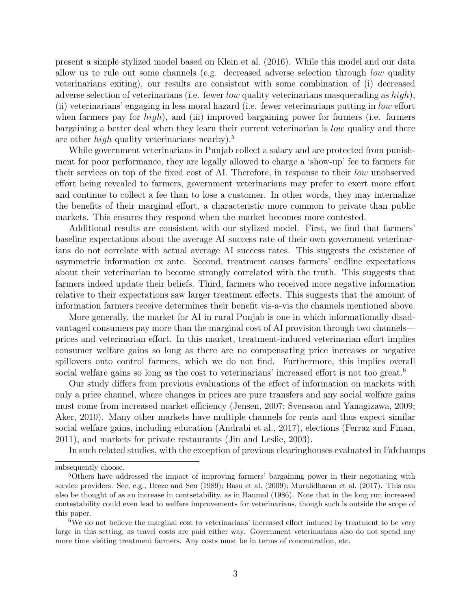present a simple stylized model based on Klein et al. (2016). While this model and our data allow us to rule out some channels (e.g. decreased adverse selection through low quality veterinarians exiting), our results are consistent with some combination of (i) decreased adverse selection of veterinarians (i.e. fewer low quality veterinarians masquerading as  $high$ ), (ii) veterinarians' engaging in less moral hazard (i.e. fewer veterinarians putting in low effort when farmers pay for  $high$ ), and (iii) improved bargaining power for farmers (i.e. farmers bargaining a better deal when they learn their current veterinarian is low quality and there are other *high* quality veterinarians nearby).<sup>5</sup>

While government veterinarians in Punjab collect a salary and are protected from punishment for poor performance, they are legally allowed to charge a 'show-up' fee to farmers for their services on top of the fixed cost of AI. Therefore, in response to their low unobserved effort being revealed to farmers, government veterinarians may prefer to exert more effort and continue to collect a fee than to lose a customer. In other words, they may internalize the benefits of their marginal effort, a characteristic more common to private than public markets. This ensures they respond when the market becomes more contested.

Additional results are consistent with our stylized model. First, we find that farmers' baseline expectations about the average AI success rate of their own government veterinarians do not correlate with actual average AI success rates. This suggests the existence of asymmetric information ex ante. Second, treatment causes farmers' endline expectations about their veterinarian to become strongly correlated with the truth. This suggests that farmers indeed update their beliefs. Third, farmers who received more negative information relative to their expectations saw larger treatment effects. This suggests that the amount of information farmers receive determines their benefit vis-a-vis the channels mentioned above.

More generally, the market for AI in rural Punjab is one in which informationally disadvantaged consumers pay more than the marginal cost of AI provision through two channels prices and veterinarian effort. In this market, treatment-induced veterinarian effort implies consumer welfare gains so long as there are no compensating price increases or negative spillovers onto control farmers, which we do not find. Furthermore, this implies overall social welfare gains so long as the cost to veterinarians' increased effort is not too great.<sup>6</sup>

Our study differs from previous evaluations of the effect of information on markets with only a price channel, where changes in prices are pure transfers and any social welfare gains must come from increased market efficiency (Jensen, 2007; Svensson and Yanagizawa, 2009; Aker, 2010). Many other markets have multiple channels for rents and thus expect similar social welfare gains, including education (Andrabi et al., 2017), elections (Ferraz and Finan, 2011), and markets for private restaurants (Jin and Leslie, 2003).

In such related studies, with the exception of previous clearinghouses evaluated in Fafchamps

subsequently choose.

<sup>5</sup>Others have addressed the impact of improving farmers' bargaining power in their negotiating with service providers. See, e.g., Dreze and Sen (1989); Basu et al. (2009); Muralidharan et al. (2017). This can also be thought of as an increase in contsetability, as in Baumol (1986). Note that in the long run increased contestability could even lead to welfare improvements for veterinarians, though such is outside the scope of this paper.

<sup>&</sup>lt;sup>6</sup>We do not believe the marginal cost to veterinarians' increased effort induced by treatment to be very large in this setting, as travel costs are paid either way. Government veterinarians also do not spend any more time visiting treatment farmers. Any costs must be in terms of concentration, etc.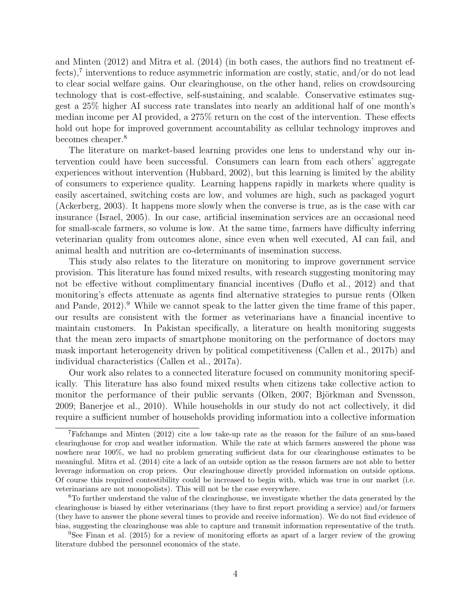and Minten (2012) and Mitra et al. (2014) (in both cases, the authors find no treatment effects),<sup>7</sup> interventions to reduce asymmetric information are costly, static, and/or do not lead to clear social welfare gains. Our clearinghouse, on the other hand, relies on crowdsourcing technology that is cost-effective, self-sustaining, and scalable. Conservative estimates suggest a 25% higher AI success rate translates into nearly an additional half of one month's median income per AI provided, a 275% return on the cost of the intervention. These effects hold out hope for improved government accountability as cellular technology improves and becomes cheaper.<sup>8</sup>

The literature on market-based learning provides one lens to understand why our intervention could have been successful. Consumers can learn from each others' aggregate experiences without intervention (Hubbard, 2002), but this learning is limited by the ability of consumers to experience quality. Learning happens rapidly in markets where quality is easily ascertained, switching costs are low, and volumes are high, such as packaged yogurt (Ackerberg, 2003). It happens more slowly when the converse is true, as is the case with car insurance (Israel, 2005). In our case, artificial insemination services are an occasional need for small-scale farmers, so volume is low. At the same time, farmers have difficulty inferring veterinarian quality from outcomes alone, since even when well executed, AI can fail, and animal health and nutrition are co-determinants of insemination success.

This study also relates to the literature on monitoring to improve government service provision. This literature has found mixed results, with research suggesting monitoring may not be effective without complimentary financial incentives (Duflo et al., 2012) and that monitoring's effects attenuate as agents find alternative strategies to pursue rents (Olken and Pande,  $2012$ .<sup>9</sup> While we cannot speak to the latter given the time frame of this paper, our results are consistent with the former as veterinarians have a financial incentive to maintain customers. In Pakistan specifically, a literature on health monitoring suggests that the mean zero impacts of smartphone monitoring on the performance of doctors may mask important heterogeneity driven by political competitiveness (Callen et al., 2017b) and individual characteristics (Callen et al., 2017a).

Our work also relates to a connected literature focused on community monitoring specifically. This literature has also found mixed results when citizens take collective action to monitor the performance of their public servants (Olken, 2007; Björkman and Svensson, 2009; Banerjee et al., 2010). While households in our study do not act collectively, it did require a sufficient number of households providing information into a collective information

<sup>7</sup>Fafchamps and Minten (2012) cite a low take-up rate as the reason for the failure of an sms-based clearinghouse for crop and weather information. While the rate at which farmers answered the phone was nowhere near 100%, we had no problem generating sufficient data for our clearinghouse estimates to be meaningful. Mitra et al. (2014) cite a lack of an outside option as the reason farmers are not able to better leverage information on crop prices. Our clearinghouse directly provided information on outside options. Of course this required contestibility could be increased to begin with, which was true in our market (i.e. veterinarians are not monopolists). This will not be the case everywhere.

<sup>8</sup>To further understand the value of the clearinghouse, we investigate whether the data generated by the clearinghouse is biased by either veterinarians (they have to first report providing a service) and/or farmers (they have to answer the phone several times to provide and receive information). We do not find evidence of bias, suggesting the clearinghouse was able to capture and transmit information representative of the truth.

<sup>9</sup>See Finan et al. (2015) for a review of monitoring efforts as apart of a larger review of the growing literature dubbed the personnel economics of the state.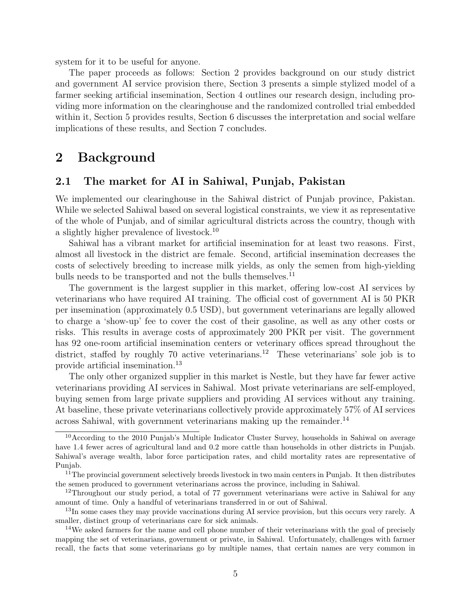system for it to be useful for anyone.

The paper proceeds as follows: Section 2 provides background on our study district and government AI service provision there, Section 3 presents a simple stylized model of a farmer seeking artificial insemination, Section 4 outlines our research design, including providing more information on the clearinghouse and the randomized controlled trial embedded within it, Section 5 provides results, Section 6 discusses the interpretation and social welfare implications of these results, and Section 7 concludes.

### 2 Background

### 2.1 The market for AI in Sahiwal, Punjab, Pakistan

We implemented our clearinghouse in the Sahiwal district of Punjab province, Pakistan. While we selected Sahiwal based on several logistical constraints, we view it as representative of the whole of Punjab, and of similar agricultural districts across the country, though with a slightly higher prevalence of livestock.<sup>10</sup>

Sahiwal has a vibrant market for artificial insemination for at least two reasons. First, almost all livestock in the district are female. Second, artificial insemination decreases the costs of selectively breeding to increase milk yields, as only the semen from high-yielding bulls needs to be transported and not the bulls themselves.<sup>11</sup>

The government is the largest supplier in this market, offering low-cost AI services by veterinarians who have required AI training. The official cost of government AI is 50 PKR per insemination (approximately 0.5 USD), but government veterinarians are legally allowed to charge a 'show-up' fee to cover the cost of their gasoline, as well as any other costs or risks. This results in average costs of approximately 200 PKR per visit. The government has 92 one-room artificial insemination centers or veterinary offices spread throughout the district, staffed by roughly 70 active veterinarians.<sup>12</sup> These veterinarians' sole job is to provide artificial insemination.<sup>13</sup>

The only other organized supplier in this market is Nestle, but they have far fewer active veterinarians providing AI services in Sahiwal. Most private veterinarians are self-employed, buying semen from large private suppliers and providing AI services without any training. At baseline, these private veterinarians collectively provide approximately 57% of AI services across Sahiwal, with government veterinarians making up the remainder.<sup>14</sup>

<sup>&</sup>lt;sup>10</sup>According to the 2010 Punjab's Multiple Indicator Cluster Survey, households in Sahiwal on average have 1.4 fewer acres of agricultural land and 0.2 more cattle than households in other districts in Punjab. Sahiwal's average wealth, labor force participation rates, and child mortality rates are representative of Punjab.

<sup>&</sup>lt;sup>11</sup>The provincial government selectively breeds livestock in two main centers in Punjab. It then distributes the semen produced to government veterinarians across the province, including in Sahiwal.

<sup>&</sup>lt;sup>12</sup>Throughout our study period, a total of 77 government veterinarians were active in Sahiwal for any amount of time. Only a handful of veterinarians transferred in or out of Sahiwal.

<sup>&</sup>lt;sup>13</sup>In some cases they may provide vaccinations during AI service provision, but this occurs very rarely. A smaller, distinct group of veterinarians care for sick animals.

<sup>&</sup>lt;sup>14</sup>We asked farmers for the name and cell phone number of their veterinarians with the goal of precisely mapping the set of veterinarians, government or private, in Sahiwal. Unfortunately, challenges with farmer recall, the facts that some veterinarians go by multiple names, that certain names are very common in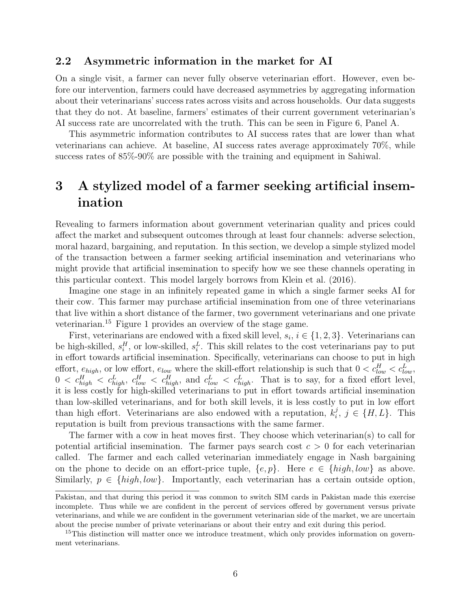### 2.2 Asymmetric information in the market for AI

On a single visit, a farmer can never fully observe veterinarian effort. However, even before our intervention, farmers could have decreased asymmetries by aggregating information about their veterinarians' success rates across visits and across households. Our data suggests that they do not. At baseline, farmers' estimates of their current government veterinarian's AI success rate are uncorrelated with the truth. This can be seen in Figure 6, Panel A.

This asymmetric information contributes to AI success rates that are lower than what veterinarians can achieve. At baseline, AI success rates average approximately 70%, while success rates of 85%-90% are possible with the training and equipment in Sahiwal.

# 3 A stylized model of a farmer seeking artificial insemination

Revealing to farmers information about government veterinarian quality and prices could affect the market and subsequent outcomes through at least four channels: adverse selection, moral hazard, bargaining, and reputation. In this section, we develop a simple stylized model of the transaction between a farmer seeking artificial insemination and veterinarians who might provide that artificial insemination to specify how we see these channels operating in this particular context. This model largely borrows from Klein et al. (2016).

Imagine one stage in an infinitely repeated game in which a single farmer seeks AI for their cow. This farmer may purchase artificial insemination from one of three veterinarians that live within a short distance of the farmer, two government veterinarians and one private veterinarian.<sup>15</sup> Figure 1 provides an overview of the stage game.

First, veterinarians are endowed with a fixed skill level,  $s_i$ ,  $i \in \{1, 2, 3\}$ . Veterinarians can be high-skilled,  $s_i^H$ , or low-skilled,  $s_i^L$ . This skill relates to the cost veterinarians pay to put in effort towards artificial insemination. Specifically, veterinarians can choose to put in high effort,  $e_{high}$ , or low effort,  $e_{low}$  where the skill-effort relationship is such that  $0 < c_{low}^H < c_{low}^L$ ,  $0 < c_{high}^H < c_{high}^L$ ,  $c_{low}^H < c_{high}^H$ , and  $c_{low}^L < c_{high}^L$ . That is to say, for a fixed effort level, it is less costly for high-skilled veterinarians to put in effort towards artificial insemination than low-skilled veterinarians, and for both skill levels, it is less costly to put in low effort than high effort. Veterinarians are also endowed with a reputation,  $k_i^j$  $i, j \in \{H, L\}$ . This reputation is built from previous transactions with the same farmer.

The farmer with a cow in heat moves first. They choose which veterinarian(s) to call for potential artificial insemination. The farmer pays search cost  $c > 0$  for each veterinarian called. The farmer and each called veterinarian immediately engage in Nash bargaining on the phone to decide on an effort-price tuple,  $\{e, p\}$ . Here  $e \in \{high, low\}$  as above. Similarly,  $p \in \{high, low\}$ . Importantly, each veterinarian has a certain outside option,

Pakistan, and that during this period it was common to switch SIM cards in Pakistan made this exercise incomplete. Thus while we are confident in the percent of services offered by government versus private veterinarians, and while we are confident in the government veterinarian side of the market, we are uncertain about the precise number of private veterinarians or about their entry and exit during this period.

<sup>&</sup>lt;sup>15</sup>This distinction will matter once we introduce treatment, which only provides information on government veterinarians.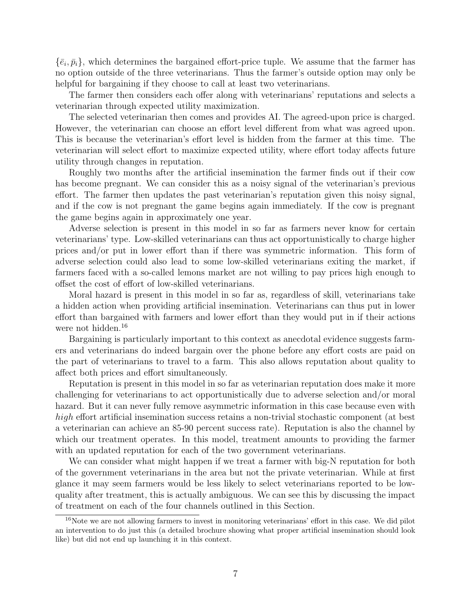$\{\bar{e}_i,\bar{p}_i\}$ , which determines the bargained effort-price tuple. We assume that the farmer has no option outside of the three veterinarians. Thus the farmer's outside option may only be helpful for bargaining if they choose to call at least two veterinarians.

The farmer then considers each offer along with veterinarians' reputations and selects a veterinarian through expected utility maximization.

The selected veterinarian then comes and provides AI. The agreed-upon price is charged. However, the veterinarian can choose an effort level different from what was agreed upon. This is because the veterinarian's effort level is hidden from the farmer at this time. The veterinarian will select effort to maximize expected utility, where effort today affects future utility through changes in reputation.

Roughly two months after the artificial insemination the farmer finds out if their cow has become pregnant. We can consider this as a noisy signal of the veterinarian's previous effort. The farmer then updates the past veterinarian's reputation given this noisy signal, and if the cow is not pregnant the game begins again immediately. If the cow is pregnant the game begins again in approximately one year.

Adverse selection is present in this model in so far as farmers never know for certain veterinarians' type. Low-skilled veterinarians can thus act opportunistically to charge higher prices and/or put in lower effort than if there was symmetric information. This form of adverse selection could also lead to some low-skilled veterinarians exiting the market, if farmers faced with a so-called lemons market are not willing to pay prices high enough to offset the cost of effort of low-skilled veterinarians.

Moral hazard is present in this model in so far as, regardless of skill, veterinarians take a hidden action when providing artificial insemination. Veterinarians can thus put in lower effort than bargained with farmers and lower effort than they would put in if their actions were not hidden.<sup>16</sup>

Bargaining is particularly important to this context as anecdotal evidence suggests farmers and veterinarians do indeed bargain over the phone before any effort costs are paid on the part of veterinarians to travel to a farm. This also allows reputation about quality to affect both prices and effort simultaneously.

Reputation is present in this model in so far as veterinarian reputation does make it more challenging for veterinarians to act opportunistically due to adverse selection and/or moral hazard. But it can never fully remove asymmetric information in this case because even with high effort artificial insemination success retains a non-trivial stochastic component (at best a veterinarian can achieve an 85-90 percent success rate). Reputation is also the channel by which our treatment operates. In this model, treatment amounts to providing the farmer with an updated reputation for each of the two government veterinarians.

We can consider what might happen if we treat a farmer with big-N reputation for both of the government veterinarians in the area but not the private veterinarian. While at first glance it may seem farmers would be less likely to select veterinarians reported to be lowquality after treatment, this is actually ambiguous. We can see this by discussing the impact of treatment on each of the four channels outlined in this Section.

<sup>&</sup>lt;sup>16</sup>Note we are not allowing farmers to invest in monitoring veterinarians' effort in this case. We did pilot an intervention to do just this (a detailed brochure showing what proper artificial insemination should look like) but did not end up launching it in this context.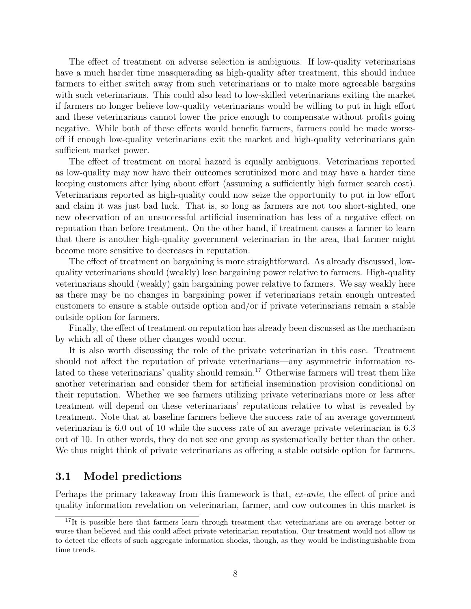The effect of treatment on adverse selection is ambiguous. If low-quality veterinarians have a much harder time masquerading as high-quality after treatment, this should induce farmers to either switch away from such veterinarians or to make more agreeable bargains with such veterinarians. This could also lead to low-skilled veterinarians exiting the market if farmers no longer believe low-quality veterinarians would be willing to put in high effort and these veterinarians cannot lower the price enough to compensate without profits going negative. While both of these effects would benefit farmers, farmers could be made worseoff if enough low-quality veterinarians exit the market and high-quality veterinarians gain sufficient market power.

The effect of treatment on moral hazard is equally ambiguous. Veterinarians reported as low-quality may now have their outcomes scrutinized more and may have a harder time keeping customers after lying about effort (assuming a sufficiently high farmer search cost). Veterinarians reported as high-quality could now seize the opportunity to put in low effort and claim it was just bad luck. That is, so long as farmers are not too short-sighted, one new observation of an unsuccessful artificial insemination has less of a negative effect on reputation than before treatment. On the other hand, if treatment causes a farmer to learn that there is another high-quality government veterinarian in the area, that farmer might become more sensitive to decreases in reputation.

The effect of treatment on bargaining is more straightforward. As already discussed, lowquality veterinarians should (weakly) lose bargaining power relative to farmers. High-quality veterinarians should (weakly) gain bargaining power relative to farmers. We say weakly here as there may be no changes in bargaining power if veterinarians retain enough untreated customers to ensure a stable outside option and/or if private veterinarians remain a stable outside option for farmers.

Finally, the effect of treatment on reputation has already been discussed as the mechanism by which all of these other changes would occur.

It is also worth discussing the role of the private veterinarian in this case. Treatment should not affect the reputation of private veterinarians—any asymmetric information related to these veterinarians' quality should remain.<sup>17</sup> Otherwise farmers will treat them like another veterinarian and consider them for artificial insemination provision conditional on their reputation. Whether we see farmers utilizing private veterinarians more or less after treatment will depend on these veterinarians' reputations relative to what is revealed by treatment. Note that at baseline farmers believe the success rate of an average government veterinarian is 6.0 out of 10 while the success rate of an average private veterinarian is 6.3 out of 10. In other words, they do not see one group as systematically better than the other. We thus might think of private veterinarians as offering a stable outside option for farmers.

### 3.1 Model predictions

Perhaps the primary takeaway from this framework is that, ex-ante, the effect of price and quality information revelation on veterinarian, farmer, and cow outcomes in this market is

<sup>&</sup>lt;sup>17</sup>It is possible here that farmers learn through treatment that veterinarians are on average better or worse than believed and this could affect private veterinarian reputation. Our treatment would not allow us to detect the effects of such aggregate information shocks, though, as they would be indistinguishable from time trends.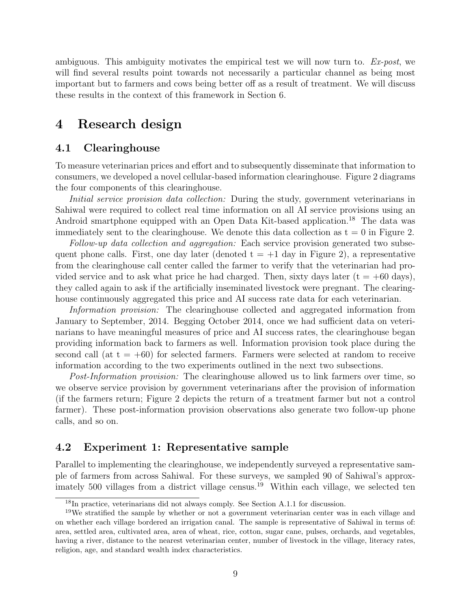ambiguous. This ambiguity motivates the empirical test we will now turn to.  $Ex\text{-}post$ , we will find several results point towards not necessarily a particular channel as being most important but to farmers and cows being better off as a result of treatment. We will discuss these results in the context of this framework in Section 6.

### 4 Research design

#### 4.1 Clearinghouse

To measure veterinarian prices and effort and to subsequently disseminate that information to consumers, we developed a novel cellular-based information clearinghouse. Figure 2 diagrams the four components of this clearinghouse.

Initial service provision data collection: During the study, government veterinarians in Sahiwal were required to collect real time information on all AI service provisions using an Android smartphone equipped with an Open Data Kit-based application.<sup>18</sup> The data was immediately sent to the clearinghouse. We denote this data collection as  $t = 0$  in Figure 2.

Follow-up data collection and aggregation: Each service provision generated two subsequent phone calls. First, one day later (denoted  $t = +1$  day in Figure 2), a representative from the clearinghouse call center called the farmer to verify that the veterinarian had provided service and to ask what price he had charged. Then, sixty days later  $(t = +60 \text{ days})$ , they called again to ask if the artificially inseminated livestock were pregnant. The clearinghouse continuously aggregated this price and AI success rate data for each veterinarian.

Information provision: The clearinghouse collected and aggregated information from January to September, 2014. Begging October 2014, once we had sufficient data on veterinarians to have meaningful measures of price and AI success rates, the clearinghouse began providing information back to farmers as well. Information provision took place during the second call (at  $t = +60$ ) for selected farmers. Farmers were selected at random to receive information according to the two experiments outlined in the next two subsections.

Post-Information provision: The clearinghouse allowed us to link farmers over time, so we observe service provision by government veterinarians after the provision of information (if the farmers return; Figure 2 depicts the return of a treatment farmer but not a control farmer). These post-information provision observations also generate two follow-up phone calls, and so on.

### 4.2 Experiment 1: Representative sample

Parallel to implementing the clearinghouse, we independently surveyed a representative sample of farmers from across Sahiwal. For these surveys, we sampled 90 of Sahiwal's approximately 500 villages from a district village census.<sup>19</sup> Within each village, we selected ten

<sup>18</sup>In practice, veterinarians did not always comply. See Section A.1.1 for discussion.

<sup>&</sup>lt;sup>19</sup>We stratified the sample by whether or not a government veterinarian center was in each village and on whether each village bordered an irrigation canal. The sample is representative of Sahiwal in terms of: area, settled area, cultivated area, area of wheat, rice, cotton, sugar cane, pulses, orchards, and vegetables, having a river, distance to the nearest veterinarian center, number of livestock in the village, literacy rates, religion, age, and standard wealth index characteristics.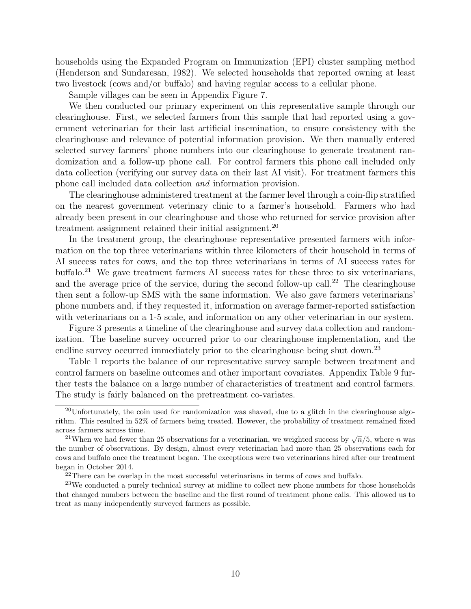households using the Expanded Program on Immunization (EPI) cluster sampling method (Henderson and Sundaresan, 1982). We selected households that reported owning at least two livestock (cows and/or buffalo) and having regular access to a cellular phone.

Sample villages can be seen in Appendix Figure 7.

We then conducted our primary experiment on this representative sample through our clearinghouse. First, we selected farmers from this sample that had reported using a government veterinarian for their last artificial insemination, to ensure consistency with the clearinghouse and relevance of potential information provision. We then manually entered selected survey farmers' phone numbers into our clearinghouse to generate treatment randomization and a follow-up phone call. For control farmers this phone call included only data collection (verifying our survey data on their last AI visit). For treatment farmers this phone call included data collection and information provision.

The clearinghouse administered treatment at the farmer level through a coin-flip stratified on the nearest government veterinary clinic to a farmer's household. Farmers who had already been present in our clearinghouse and those who returned for service provision after treatment assignment retained their initial assignment.<sup>20</sup>

In the treatment group, the clearinghouse representative presented farmers with information on the top three veterinarians within three kilometers of their household in terms of AI success rates for cows, and the top three veterinarians in terms of AI success rates for buffalo.<sup>21</sup> We gave treatment farmers AI success rates for these three to six veterinarians, and the average price of the service, during the second follow-up call.<sup>22</sup> The clearinghouse then sent a follow-up SMS with the same information. We also gave farmers veterinarians' phone numbers and, if they requested it, information on average farmer-reported satisfaction with veterinarians on a 1-5 scale, and information on any other veterinarian in our system.

Figure 3 presents a timeline of the clearinghouse and survey data collection and randomization. The baseline survey occurred prior to our clearinghouse implementation, and the endline survey occurred immediately prior to the clearinghouse being shut down.<sup>23</sup>

Table 1 reports the balance of our representative survey sample between treatment and control farmers on baseline outcomes and other important covariates. Appendix Table 9 further tests the balance on a large number of characteristics of treatment and control farmers. The study is fairly balanced on the pretreatment co-variates.

<sup>&</sup>lt;sup>20</sup>Unfortunately, the coin used for randomization was shaved, due to a glitch in the clearinghouse algorithm. This resulted in 52% of farmers being treated. However, the probability of treatment remained fixed across farmers across time.

<sup>&</sup>lt;sup>21</sup> When we had fewer than 25 observations for a veterinarian, we weighted success by  $\sqrt{n}/5$ , where *n* was the number of observations. By design, almost every veterinarian had more than 25 observations each for cows and buffalo once the treatment began. The exceptions were two veterinarians hired after our treatment began in October 2014.

 $^{22}$ There can be overlap in the most successful veterinarians in terms of cows and buffalo.

 $23$ We conducted a purely technical survey at midline to collect new phone numbers for those households that changed numbers between the baseline and the first round of treatment phone calls. This allowed us to treat as many independently surveyed farmers as possible.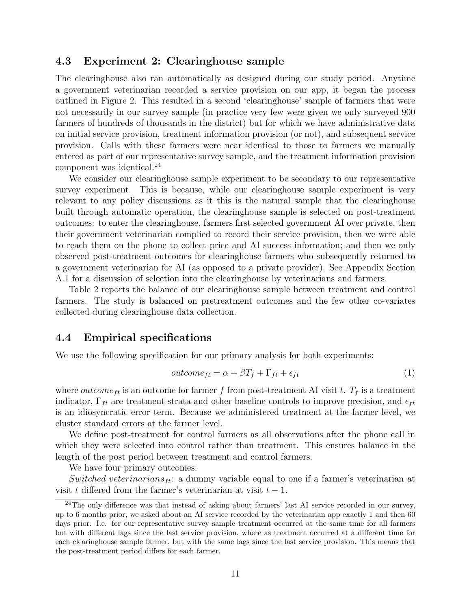### 4.3 Experiment 2: Clearinghouse sample

The clearinghouse also ran automatically as designed during our study period. Anytime a government veterinarian recorded a service provision on our app, it began the process outlined in Figure 2. This resulted in a second 'clearinghouse' sample of farmers that were not necessarily in our survey sample (in practice very few were given we only surveyed 900 farmers of hundreds of thousands in the district) but for which we have administrative data on initial service provision, treatment information provision (or not), and subsequent service provision. Calls with these farmers were near identical to those to farmers we manually entered as part of our representative survey sample, and the treatment information provision component was identical.<sup>24</sup>

We consider our clearinghouse sample experiment to be secondary to our representative survey experiment. This is because, while our clearinghouse sample experiment is very relevant to any policy discussions as it this is the natural sample that the clearinghouse built through automatic operation, the clearinghouse sample is selected on post-treatment outcomes: to enter the clearinghouse, farmers first selected government AI over private, then their government veterinarian complied to record their service provision, then we were able to reach them on the phone to collect price and AI success information; and then we only observed post-treatment outcomes for clearinghouse farmers who subsequently returned to a government veterinarian for AI (as opposed to a private provider). See Appendix Section A.1 for a discussion of selection into the clearinghouse by veterinarians and farmers.

Table 2 reports the balance of our clearinghouse sample between treatment and control farmers. The study is balanced on pretreatment outcomes and the few other co-variates collected during clearinghouse data collection.

### 4.4 Empirical specifications

We use the following specification for our primary analysis for both experiments:

$$
outcome_{ft} = \alpha + \beta T_f + \Gamma_{ft} + \epsilon_{ft} \tag{1}
$$

where *outcome* f is an outcome for farmer f from post-treatment AI visit t.  $T_f$  is a treatment indicator,  $\Gamma_{ft}$  are treatment strata and other baseline controls to improve precision, and  $\epsilon_{ft}$ is an idiosyncratic error term. Because we administered treatment at the farmer level, we cluster standard errors at the farmer level.

We define post-treatment for control farmers as all observations after the phone call in which they were selected into control rather than treatment. This ensures balance in the length of the post period between treatment and control farmers.

We have four primary outcomes:

Switched veterinarians<sub>ft</sub>: a dummy variable equal to one if a farmer's veterinarian at visit t differed from the farmer's veterinarian at visit  $t - 1$ .

 $^{24}$ The only difference was that instead of asking about farmers' last AI service recorded in our survey, up to 6 months prior, we asked about an AI service recorded by the veterinarian app exactly 1 and then 60 days prior. I.e. for our representative survey sample treatment occurred at the same time for all farmers but with different lags since the last service provision, where as treatment occurred at a different time for each clearinghouse sample farmer, but with the same lags since the last service provision. This means that the post-treatment period differs for each farmer.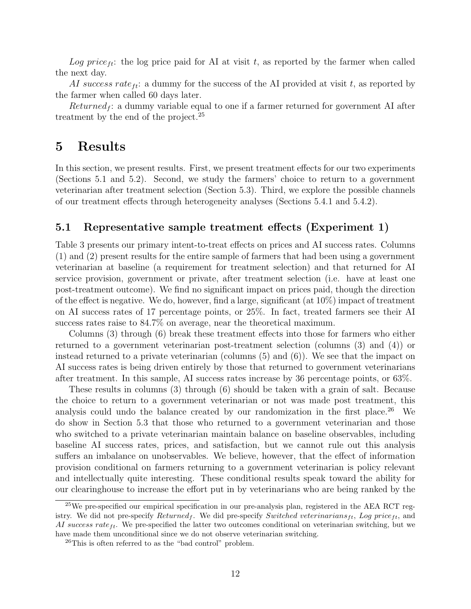Log price<sub>ft</sub>: the log price paid for AI at visit t, as reported by the farmer when called the next day.

AI success rate<sub>ft</sub>: a dummy for the success of the AI provided at visit t, as reported by the farmer when called 60 days later.

 $Returned_f$ : a dummy variable equal to one if a farmer returned for government AI after treatment by the end of the project.<sup>25</sup>

### 5 Results

In this section, we present results. First, we present treatment effects for our two experiments (Sections 5.1 and 5.2). Second, we study the farmers' choice to return to a government veterinarian after treatment selection (Section 5.3). Third, we explore the possible channels of our treatment effects through heterogeneity analyses (Sections 5.4.1 and 5.4.2).

### 5.1 Representative sample treatment effects (Experiment 1)

Table 3 presents our primary intent-to-treat effects on prices and AI success rates. Columns (1) and (2) present results for the entire sample of farmers that had been using a government veterinarian at baseline (a requirement for treatment selection) and that returned for AI service provision, government or private, after treatment selection (i.e. have at least one post-treatment outcome). We find no significant impact on prices paid, though the direction of the effect is negative. We do, however, find a large, significant (at 10%) impact of treatment on AI success rates of 17 percentage points, or 25%. In fact, treated farmers see their AI success rates raise to 84.7% on average, near the theoretical maximum.

Columns (3) through (6) break these treatment effects into those for farmers who either returned to a government veterinarian post-treatment selection (columns (3) and (4)) or instead returned to a private veterinarian (columns  $(5)$  and  $(6)$ ). We see that the impact on AI success rates is being driven entirely by those that returned to government veterinarians after treatment. In this sample, AI success rates increase by 36 percentage points, or 63%.

These results in columns (3) through (6) should be taken with a grain of salt. Because the choice to return to a government veterinarian or not was made post treatment, this analysis could undo the balance created by our randomization in the first place.<sup>26</sup> We do show in Section 5.3 that those who returned to a government veterinarian and those who switched to a private veterinarian maintain balance on baseline observables, including baseline AI success rates, prices, and satisfaction, but we cannot rule out this analysis suffers an imbalance on unobservables. We believe, however, that the effect of information provision conditional on farmers returning to a government veterinarian is policy relevant and intellectually quite interesting. These conditional results speak toward the ability for our clearinghouse to increase the effort put in by veterinarians who are being ranked by the

<sup>&</sup>lt;sup>25</sup>We pre-specified our empirical specification in our pre-analysis plan, registered in the AEA RCT registry. We did not pre-specify  $Returned<sub>f</sub>$ . We did pre-specify Switched veterinarians<sub>ft</sub>, Log price<sub>ft</sub>, and AI success rate  $_{tt}$ . We pre-specified the latter two outcomes conditional on veterinarian switching, but we have made them unconditional since we do not observe veterinarian switching.

<sup>26</sup>This is often referred to as the "bad control" problem.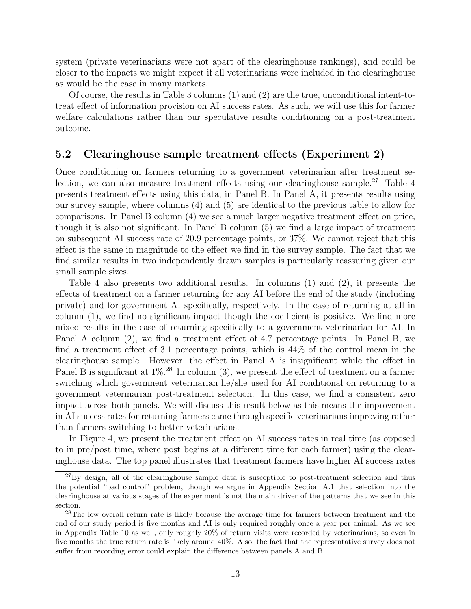system (private veterinarians were not apart of the clearinghouse rankings), and could be closer to the impacts we might expect if all veterinarians were included in the clearinghouse as would be the case in many markets.

Of course, the results in Table 3 columns (1) and (2) are the true, unconditional intent-totreat effect of information provision on AI success rates. As such, we will use this for farmer welfare calculations rather than our speculative results conditioning on a post-treatment outcome.

#### 5.2 Clearinghouse sample treatment effects (Experiment 2)

Once conditioning on farmers returning to a government veterinarian after treatment selection, we can also measure treatment effects using our clearinghouse sample.<sup>27</sup> Table 4 presents treatment effects using this data, in Panel B. In Panel A, it presents results using our survey sample, where columns (4) and (5) are identical to the previous table to allow for comparisons. In Panel B column (4) we see a much larger negative treatment effect on price, though it is also not significant. In Panel B column (5) we find a large impact of treatment on subsequent AI success rate of 20.9 percentage points, or 37%. We cannot reject that this effect is the same in magnitude to the effect we find in the survey sample. The fact that we find similar results in two independently drawn samples is particularly reassuring given our small sample sizes.

Table 4 also presents two additional results. In columns (1) and (2), it presents the effects of treatment on a farmer returning for any AI before the end of the study (including private) and for government AI specifically, respectively. In the case of returning at all in column (1), we find no significant impact though the coefficient is positive. We find more mixed results in the case of returning specifically to a government veterinarian for AI. In Panel A column (2), we find a treatment effect of 4.7 percentage points. In Panel B, we find a treatment effect of 3.1 percentage points, which is 44% of the control mean in the clearinghouse sample. However, the effect in Panel A is insignificant while the effect in Panel B is significant at  $1\%$ .<sup>28</sup> In column (3), we present the effect of treatment on a farmer switching which government veterinarian he/she used for AI conditional on returning to a government veterinarian post-treatment selection. In this case, we find a consistent zero impact across both panels. We will discuss this result below as this means the improvement in AI success rates for returning farmers came through specific veterinarians improving rather than farmers switching to better veterinarians.

In Figure 4, we present the treatment effect on AI success rates in real time (as opposed to in pre/post time, where post begins at a different time for each farmer) using the clearinghouse data. The top panel illustrates that treatment farmers have higher AI success rates

 $^{27}$ By design, all of the clearinghouse sample data is susceptible to post-treatment selection and thus the potential "bad control" problem, though we argue in Appendix Section A.1 that selection into the clearinghouse at various stages of the experiment is not the main driver of the patterns that we see in this section.

<sup>28</sup>The low overall return rate is likely because the average time for farmers between treatment and the end of our study period is five months and AI is only required roughly once a year per animal. As we see in Appendix Table 10 as well, only roughly 20% of return visits were recorded by veterinarians, so even in five months the true return rate is likely around 40%. Also, the fact that the representative survey does not suffer from recording error could explain the difference between panels A and B.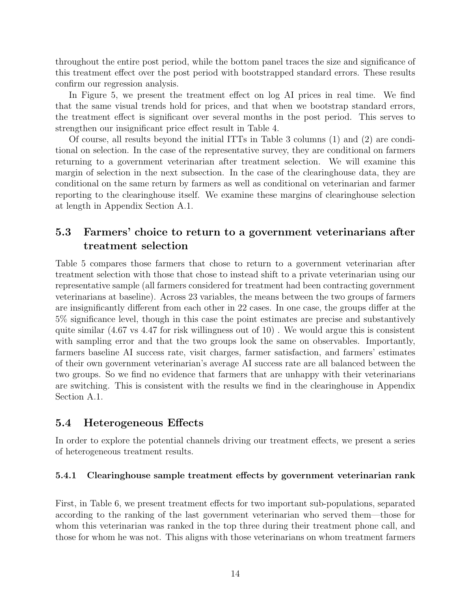throughout the entire post period, while the bottom panel traces the size and significance of this treatment effect over the post period with bootstrapped standard errors. These results confirm our regression analysis.

In Figure 5, we present the treatment effect on log AI prices in real time. We find that the same visual trends hold for prices, and that when we bootstrap standard errors, the treatment effect is significant over several months in the post period. This serves to strengthen our insignificant price effect result in Table 4.

Of course, all results beyond the initial ITTs in Table 3 columns (1) and (2) are conditional on selection. In the case of the representative survey, they are conditional on farmers returning to a government veterinarian after treatment selection. We will examine this margin of selection in the next subsection. In the case of the clearinghouse data, they are conditional on the same return by farmers as well as conditional on veterinarian and farmer reporting to the clearinghouse itself. We examine these margins of clearinghouse selection at length in Appendix Section A.1.

### 5.3 Farmers' choice to return to a government veterinarians after treatment selection

Table 5 compares those farmers that chose to return to a government veterinarian after treatment selection with those that chose to instead shift to a private veterinarian using our representative sample (all farmers considered for treatment had been contracting government veterinarians at baseline). Across 23 variables, the means between the two groups of farmers are insignificantly different from each other in 22 cases. In one case, the groups differ at the 5% significance level, though in this case the point estimates are precise and substantively quite similar  $(4.67 \text{ vs } 4.47 \text{ for risk willingness out of } 10)$ . We would argue this is consistent with sampling error and that the two groups look the same on observables. Importantly, farmers baseline AI success rate, visit charges, farmer satisfaction, and farmers' estimates of their own government veterinarian's average AI success rate are all balanced between the two groups. So we find no evidence that farmers that are unhappy with their veterinarians are switching. This is consistent with the results we find in the clearinghouse in Appendix Section A.1.

### 5.4 Heterogeneous Effects

In order to explore the potential channels driving our treatment effects, we present a series of heterogeneous treatment results.

### 5.4.1 Clearinghouse sample treatment effects by government veterinarian rank

First, in Table 6, we present treatment effects for two important sub-populations, separated according to the ranking of the last government veterinarian who served them—those for whom this veterinarian was ranked in the top three during their treatment phone call, and those for whom he was not. This aligns with those veterinarians on whom treatment farmers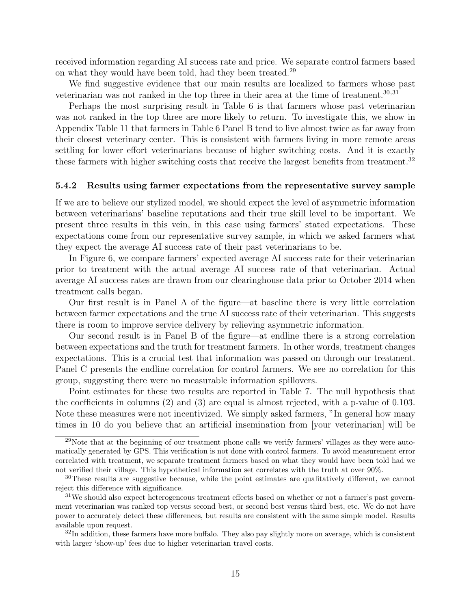received information regarding AI success rate and price. We separate control farmers based on what they would have been told, had they been treated.<sup>29</sup>

We find suggestive evidence that our main results are localized to farmers whose past veterinarian was not ranked in the top three in their area at the time of treatment. $30,31$ 

Perhaps the most surprising result in Table 6 is that farmers whose past veterinarian was not ranked in the top three are more likely to return. To investigate this, we show in Appendix Table 11 that farmers in Table 6 Panel B tend to live almost twice as far away from their closest veterinary center. This is consistent with farmers living in more remote areas settling for lower effort veterinarians because of higher switching costs. And it is exactly these farmers with higher switching costs that receive the largest benefits from treatment.<sup>32</sup>

#### 5.4.2 Results using farmer expectations from the representative survey sample

If we are to believe our stylized model, we should expect the level of asymmetric information between veterinarians' baseline reputations and their true skill level to be important. We present three results in this vein, in this case using farmers' stated expectations. These expectations come from our representative survey sample, in which we asked farmers what they expect the average AI success rate of their past veterinarians to be.

In Figure 6, we compare farmers' expected average AI success rate for their veterinarian prior to treatment with the actual average AI success rate of that veterinarian. Actual average AI success rates are drawn from our clearinghouse data prior to October 2014 when treatment calls began.

Our first result is in Panel A of the figure—at baseline there is very little correlation between farmer expectations and the true AI success rate of their veterinarian. This suggests there is room to improve service delivery by relieving asymmetric information.

Our second result is in Panel B of the figure—at endline there is a strong correlation between expectations and the truth for treatment farmers. In other words, treatment changes expectations. This is a crucial test that information was passed on through our treatment. Panel C presents the endline correlation for control farmers. We see no correlation for this group, suggesting there were no measurable information spillovers.

Point estimates for these two results are reported in Table 7. The null hypothesis that the coefficients in columns (2) and (3) are equal is almost rejected, with a p-value of 0.103. Note these measures were not incentivized. We simply asked farmers, "In general how many times in 10 do you believe that an artificial insemination from [your veterinarian] will be

<sup>29</sup>Note that at the beginning of our treatment phone calls we verify farmers' villages as they were automatically generated by GPS. This verification is not done with control farmers. To avoid measurement error correlated with treatment, we separate treatment farmers based on what they would have been told had we not verified their village. This hypothetical information set correlates with the truth at over 90%.

<sup>30</sup>These results are suggestive because, while the point estimates are qualitatively different, we cannot reject this difference with significance.

<sup>&</sup>lt;sup>31</sup>We should also expect heterogeneous treatment effects based on whether or not a farmer's past government veterinarian was ranked top versus second best, or second best versus third best, etc. We do not have power to accurately detect these differences, but results are consistent with the same simple model. Results available upon request.

 $32$ In addition, these farmers have more buffalo. They also pay slightly more on average, which is consistent with larger 'show-up' fees due to higher veterinarian travel costs.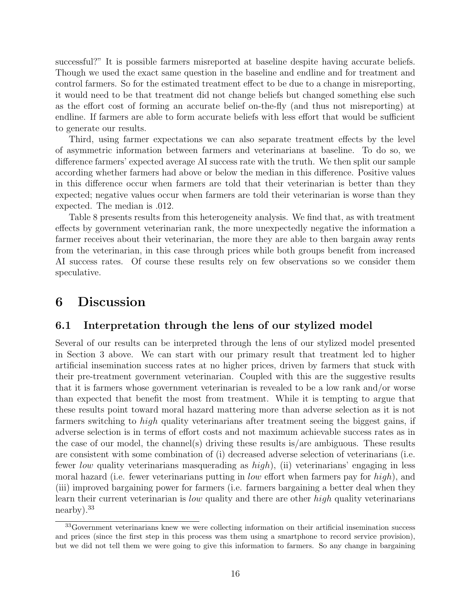successful?" It is possible farmers misreported at baseline despite having accurate beliefs. Though we used the exact same question in the baseline and endline and for treatment and control farmers. So for the estimated treatment effect to be due to a change in misreporting, it would need to be that treatment did not change beliefs but changed something else such as the effort cost of forming an accurate belief on-the-fly (and thus not misreporting) at endline. If farmers are able to form accurate beliefs with less effort that would be sufficient to generate our results.

Third, using farmer expectations we can also separate treatment effects by the level of asymmetric information between farmers and veterinarians at baseline. To do so, we difference farmers' expected average AI success rate with the truth. We then split our sample according whether farmers had above or below the median in this difference. Positive values in this difference occur when farmers are told that their veterinarian is better than they expected; negative values occur when farmers are told their veterinarian is worse than they expected. The median is .012.

Table 8 presents results from this heterogeneity analysis. We find that, as with treatment effects by government veterinarian rank, the more unexpectedly negative the information a farmer receives about their veterinarian, the more they are able to then bargain away rents from the veterinarian, in this case through prices while both groups benefit from increased AI success rates. Of course these results rely on few observations so we consider them speculative.

### 6 Discussion

### 6.1 Interpretation through the lens of our stylized model

Several of our results can be interpreted through the lens of our stylized model presented in Section 3 above. We can start with our primary result that treatment led to higher artificial insemination success rates at no higher prices, driven by farmers that stuck with their pre-treatment government veterinarian. Coupled with this are the suggestive results that it is farmers whose government veterinarian is revealed to be a low rank and/or worse than expected that benefit the most from treatment. While it is tempting to argue that these results point toward moral hazard mattering more than adverse selection as it is not farmers switching to high quality veterinarians after treatment seeing the biggest gains, if adverse selection is in terms of effort costs and not maximum achievable success rates as in the case of our model, the channel(s) driving these results is/are ambiguous. These results are consistent with some combination of (i) decreased adverse selection of veterinarians (i.e. fewer low quality veterinarians masquerading as  $high$ ), (ii) veterinarians' engaging in less moral hazard (i.e. fewer veterinarians putting in *low* effort when farmers pay for  $high$ ), and (iii) improved bargaining power for farmers (i.e. farmers bargaining a better deal when they learn their current veterinarian is *low* quality and there are other *high* quality veterinarians nearby).<sup>33</sup>

<sup>&</sup>lt;sup>33</sup>Government veterinarians knew we were collecting information on their artificial insemination success and prices (since the first step in this process was them using a smartphone to record service provision), but we did not tell them we were going to give this information to farmers. So any change in bargaining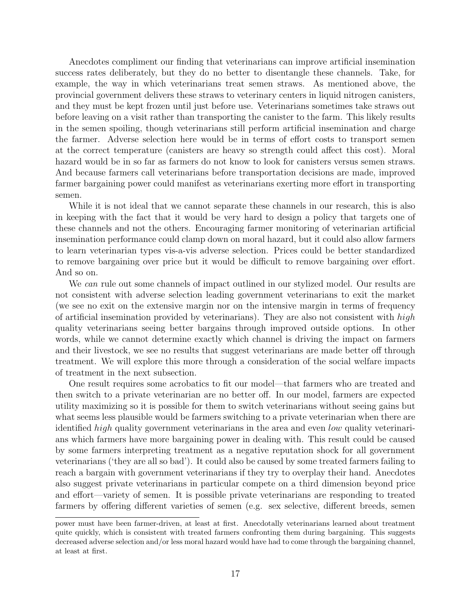Anecdotes compliment our finding that veterinarians can improve artificial insemination success rates deliberately, but they do no better to disentangle these channels. Take, for example, the way in which veterinarians treat semen straws. As mentioned above, the provincial government delivers these straws to veterinary centers in liquid nitrogen canisters, and they must be kept frozen until just before use. Veterinarians sometimes take straws out before leaving on a visit rather than transporting the canister to the farm. This likely results in the semen spoiling, though veterinarians still perform artificial insemination and charge the farmer. Adverse selection here would be in terms of effort costs to transport semen at the correct temperature (canisters are heavy so strength could affect this cost). Moral hazard would be in so far as farmers do not know to look for canisters versus semen straws. And because farmers call veterinarians before transportation decisions are made, improved farmer bargaining power could manifest as veterinarians exerting more effort in transporting semen.

While it is not ideal that we cannot separate these channels in our research, this is also in keeping with the fact that it would be very hard to design a policy that targets one of these channels and not the others. Encouraging farmer monitoring of veterinarian artificial insemination performance could clamp down on moral hazard, but it could also allow farmers to learn veterinarian types vis-a-vis adverse selection. Prices could be better standardized to remove bargaining over price but it would be difficult to remove bargaining over effort. And so on.

We can rule out some channels of impact outlined in our stylized model. Our results are not consistent with adverse selection leading government veterinarians to exit the market (we see no exit on the extensive margin nor on the intensive margin in terms of frequency of artificial insemination provided by veterinarians). They are also not consistent with  $high$ quality veterinarians seeing better bargains through improved outside options. In other words, while we cannot determine exactly which channel is driving the impact on farmers and their livestock, we see no results that suggest veterinarians are made better off through treatment. We will explore this more through a consideration of the social welfare impacts of treatment in the next subsection.

One result requires some acrobatics to fit our model—that farmers who are treated and then switch to a private veterinarian are no better off. In our model, farmers are expected utility maximizing so it is possible for them to switch veterinarians without seeing gains but what seems less plausible would be farmers switching to a private veterinarian when there are identified high quality government veterinarians in the area and even low quality veterinarians which farmers have more bargaining power in dealing with. This result could be caused by some farmers interpreting treatment as a negative reputation shock for all government veterinarians ('they are all so bad'). It could also be caused by some treated farmers failing to reach a bargain with government veterinarians if they try to overplay their hand. Anecdotes also suggest private veterinarians in particular compete on a third dimension beyond price and effort—variety of semen. It is possible private veterinarians are responding to treated farmers by offering different varieties of semen (e.g. sex selective, different breeds, semen

power must have been farmer-driven, at least at first. Anecdotally veterinarians learned about treatment quite quickly, which is consistent with treated farmers confronting them during bargaining. This suggests decreased adverse selection and/or less moral hazard would have had to come through the bargaining channel, at least at first.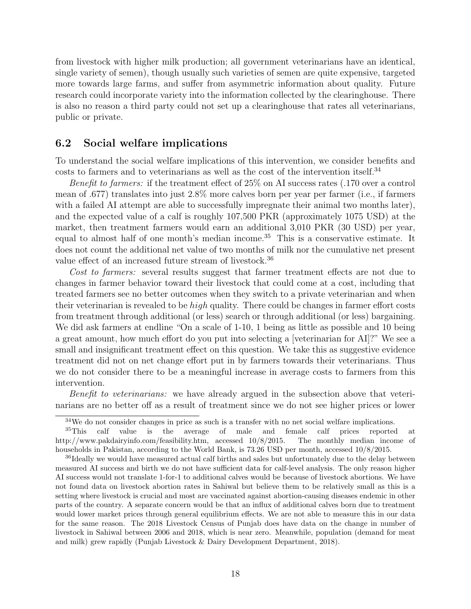from livestock with higher milk production; all government veterinarians have an identical, single variety of semen), though usually such varieties of semen are quite expensive, targeted more towards large farms, and suffer from asymmetric information about quality. Future research could incorporate variety into the information collected by the clearinghouse. There is also no reason a third party could not set up a clearinghouse that rates all veterinarians, public or private.

### 6.2 Social welfare implications

To understand the social welfare implications of this intervention, we consider benefits and costs to farmers and to veterinarians as well as the cost of the intervention itself.<sup>34</sup>

Benefit to farmers: if the treatment effect of 25% on AI success rates (.170 over a control mean of .677) translates into just 2.8% more calves born per year per farmer (i.e., if farmers with a failed AI attempt are able to successfully impregnate their animal two months later), and the expected value of a calf is roughly 107,500 PKR (approximately 1075 USD) at the market, then treatment farmers would earn an additional 3,010 PKR (30 USD) per year, equal to almost half of one month's median income.<sup>35</sup> This is a conservative estimate. It does not count the additional net value of two months of milk nor the cumulative net present value effect of an increased future stream of livestock.<sup>36</sup>

Cost to farmers: several results suggest that farmer treatment effects are not due to changes in farmer behavior toward their livestock that could come at a cost, including that treated farmers see no better outcomes when they switch to a private veterinarian and when their veterinarian is revealed to be high quality. There could be changes in farmer effort costs from treatment through additional (or less) search or through additional (or less) bargaining. We did ask farmers at endline "On a scale of 1-10, 1 being as little as possible and 10 being a great amount, how much effort do you put into selecting a [veterinarian for AI]?" We see a small and insignificant treatment effect on this question. We take this as suggestive evidence treatment did not on net change effort put in by farmers towards their veterinarians. Thus we do not consider there to be a meaningful increase in average costs to farmers from this intervention.

Benefit to veterinarians: we have already argued in the subsection above that veterinarians are no better off as a result of treatment since we do not see higher prices or lower

 $34$ We do not consider changes in price as such is a transfer with no net social welfare implications.

<sup>&</sup>lt;sup>35</sup>This calf value is the average of male and female calf prices reported at http://www.pakdairyinfo.com/feasibility.htm, accessed 10/8/2015. The monthly median income of households in Pakistan, according to the World Bank, is 73.26 USD per month, accessed 10/8/2015.

<sup>&</sup>lt;sup>36</sup>Ideally we would have measured actual calf births and sales but unfortunately due to the delay between measured AI success and birth we do not have sufficient data for calf-level analysis. The only reason higher AI success would not translate 1-for-1 to additional calves would be because of livestock abortions. We have not found data on livestock abortion rates in Sahiwal but believe them to be relatively small as this is a setting where livestock is crucial and most are vaccinated against abortion-causing diseases endemic in other parts of the country. A separate concern would be that an influx of additional calves born due to treatment would lower market prices through general equilibrium effects. We are not able to measure this in our data for the same reason. The 2018 Livestock Census of Punjab does have data on the change in number of livestock in Sahiwal between 2006 and 2018, which is near zero. Meanwhile, population (demand for meat and milk) grew rapidly (Punjab Livestock & Dairy Development Department, 2018).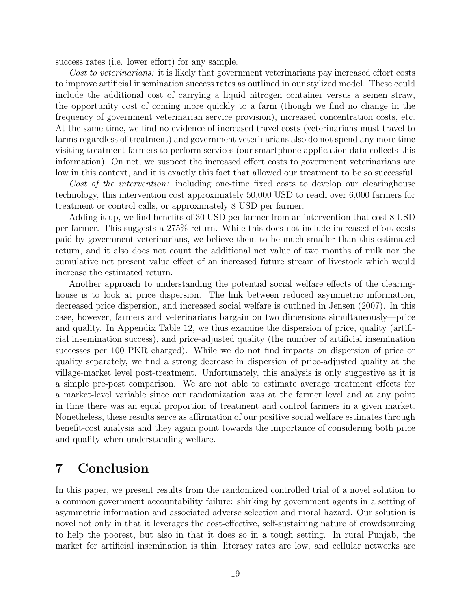success rates (i.e. lower effort) for any sample.

Cost to veterinarians: it is likely that government veterinarians pay increased effort costs to improve artificial insemination success rates as outlined in our stylized model. These could include the additional cost of carrying a liquid nitrogen container versus a semen straw, the opportunity cost of coming more quickly to a farm (though we find no change in the frequency of government veterinarian service provision), increased concentration costs, etc. At the same time, we find no evidence of increased travel costs (veterinarians must travel to farms regardless of treatment) and government veterinarians also do not spend any more time visiting treatment farmers to perform services (our smartphone application data collects this information). On net, we suspect the increased effort costs to government veterinarians are low in this context, and it is exactly this fact that allowed our treatment to be so successful.

Cost of the intervention: including one-time fixed costs to develop our clearinghouse technology, this intervention cost approximately 50,000 USD to reach over 6,000 farmers for treatment or control calls, or approximately 8 USD per farmer.

Adding it up, we find benefits of 30 USD per farmer from an intervention that cost 8 USD per farmer. This suggests a 275% return. While this does not include increased effort costs paid by government veterinarians, we believe them to be much smaller than this estimated return, and it also does not count the additional net value of two months of milk nor the cumulative net present value effect of an increased future stream of livestock which would increase the estimated return.

Another approach to understanding the potential social welfare effects of the clearinghouse is to look at price dispersion. The link between reduced asymmetric information, decreased price dispersion, and increased social welfare is outlined in Jensen (2007). In this case, however, farmers and veterinarians bargain on two dimensions simultaneously—price and quality. In Appendix Table 12, we thus examine the dispersion of price, quality (artificial insemination success), and price-adjusted quality (the number of artificial insemination successes per 100 PKR charged). While we do not find impacts on dispersion of price or quality separately, we find a strong decrease in dispersion of price-adjusted quality at the village-market level post-treatment. Unfortunately, this analysis is only suggestive as it is a simple pre-post comparison. We are not able to estimate average treatment effects for a market-level variable since our randomization was at the farmer level and at any point in time there was an equal proportion of treatment and control farmers in a given market. Nonetheless, these results serve as affirmation of our positive social welfare estimates through benefit-cost analysis and they again point towards the importance of considering both price and quality when understanding welfare.

## 7 Conclusion

In this paper, we present results from the randomized controlled trial of a novel solution to a common government accountability failure: shirking by government agents in a setting of asymmetric information and associated adverse selection and moral hazard. Our solution is novel not only in that it leverages the cost-effective, self-sustaining nature of crowdsourcing to help the poorest, but also in that it does so in a tough setting. In rural Punjab, the market for artificial insemination is thin, literacy rates are low, and cellular networks are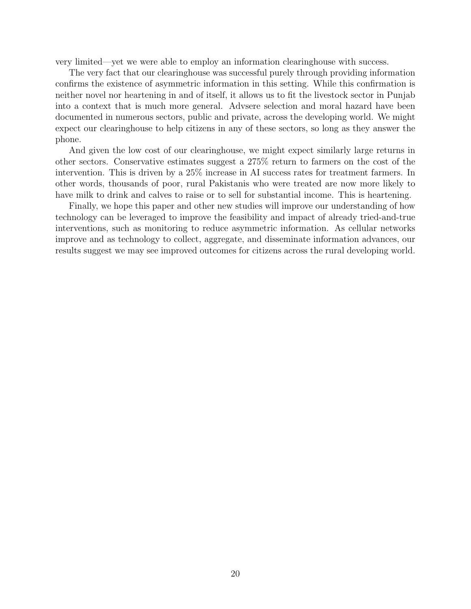very limited—yet we were able to employ an information clearinghouse with success.

The very fact that our clearinghouse was successful purely through providing information confirms the existence of asymmetric information in this setting. While this confirmation is neither novel nor heartening in and of itself, it allows us to fit the livestock sector in Punjab into a context that is much more general. Advsere selection and moral hazard have been documented in numerous sectors, public and private, across the developing world. We might expect our clearinghouse to help citizens in any of these sectors, so long as they answer the phone.

And given the low cost of our clearinghouse, we might expect similarly large returns in other sectors. Conservative estimates suggest a 275% return to farmers on the cost of the intervention. This is driven by a 25% increase in AI success rates for treatment farmers. In other words, thousands of poor, rural Pakistanis who were treated are now more likely to have milk to drink and calves to raise or to sell for substantial income. This is heartening.

Finally, we hope this paper and other new studies will improve our understanding of how technology can be leveraged to improve the feasibility and impact of already tried-and-true interventions, such as monitoring to reduce asymmetric information. As cellular networks improve and as technology to collect, aggregate, and disseminate information advances, our results suggest we may see improved outcomes for citizens across the rural developing world.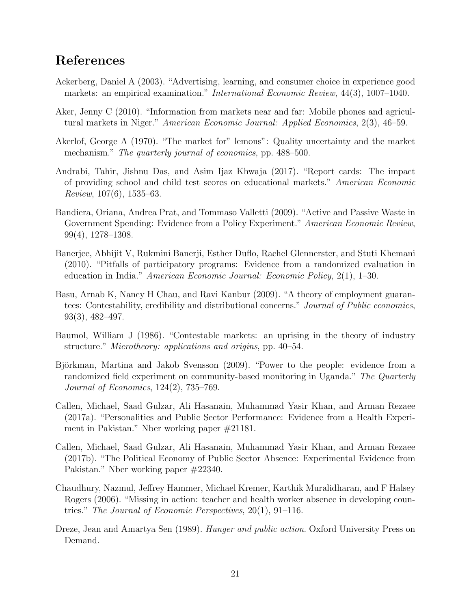## References

- Ackerberg, Daniel A (2003). "Advertising, learning, and consumer choice in experience good markets: an empirical examination." International Economic Review, 44(3), 1007–1040.
- Aker, Jenny C (2010). "Information from markets near and far: Mobile phones and agricultural markets in Niger." American Economic Journal: Applied Economics, 2(3), 46–59.
- Akerlof, George A (1970). "The market for" lemons": Quality uncertainty and the market mechanism." The quarterly journal of economics, pp. 488–500.
- Andrabi, Tahir, Jishnu Das, and Asim Ijaz Khwaja (2017). "Report cards: The impact of providing school and child test scores on educational markets." American Economic Review, 107(6), 1535–63.
- Bandiera, Oriana, Andrea Prat, and Tommaso Valletti (2009). "Active and Passive Waste in Government Spending: Evidence from a Policy Experiment." American Economic Review, 99(4), 1278–1308.
- Banerjee, Abhijit V, Rukmini Banerji, Esther Duflo, Rachel Glennerster, and Stuti Khemani (2010). "Pitfalls of participatory programs: Evidence from a randomized evaluation in education in India." American Economic Journal: Economic Policy, 2(1), 1–30.
- Basu, Arnab K, Nancy H Chau, and Ravi Kanbur (2009). "A theory of employment guarantees: Contestability, credibility and distributional concerns." Journal of Public economics, 93(3), 482–497.
- Baumol, William J (1986). "Contestable markets: an uprising in the theory of industry structure." *Microtheory: applications and origins*, pp. 40–54.
- Björkman, Martina and Jakob Svensson (2009). "Power to the people: evidence from a randomized field experiment on community-based monitoring in Uganda." The Quarterly Journal of Economics, 124(2), 735–769.
- Callen, Michael, Saad Gulzar, Ali Hasanain, Muhammad Yasir Khan, and Arman Rezaee (2017a). "Personalities and Public Sector Performance: Evidence from a Health Experiment in Pakistan." Nber working paper #21181.
- Callen, Michael, Saad Gulzar, Ali Hasanain, Muhammad Yasir Khan, and Arman Rezaee (2017b). "The Political Economy of Public Sector Absence: Experimental Evidence from Pakistan." Nber working paper #22340.
- Chaudhury, Nazmul, Jeffrey Hammer, Michael Kremer, Karthik Muralidharan, and F Halsey Rogers (2006). "Missing in action: teacher and health worker absence in developing countries." The Journal of Economic Perspectives, 20(1), 91–116.
- Dreze, Jean and Amartya Sen (1989). Hunger and public action. Oxford University Press on Demand.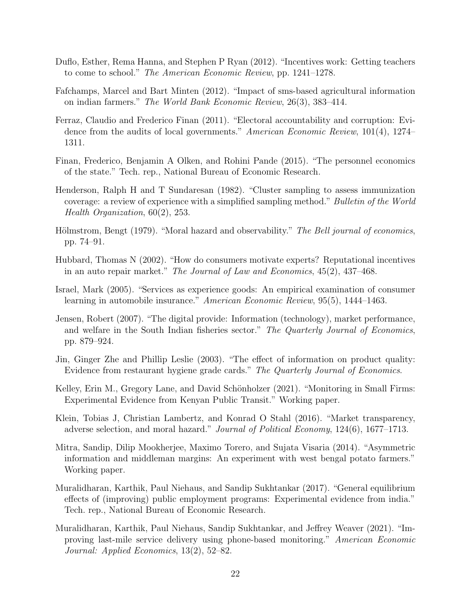- Duflo, Esther, Rema Hanna, and Stephen P Ryan (2012). "Incentives work: Getting teachers to come to school." The American Economic Review, pp. 1241–1278.
- Fafchamps, Marcel and Bart Minten (2012). "Impact of sms-based agricultural information on indian farmers." The World Bank Economic Review, 26(3), 383–414.
- Ferraz, Claudio and Frederico Finan (2011). "Electoral accountability and corruption: Evidence from the audits of local governments." American Economic Review, 101(4), 1274– 1311.
- Finan, Frederico, Benjamin A Olken, and Rohini Pande (2015). "The personnel economics of the state." Tech. rep., National Bureau of Economic Research.
- Henderson, Ralph H and T Sundaresan (1982). "Cluster sampling to assess immunization coverage: a review of experience with a simplified sampling method." Bulletin of the World Health Organization, 60(2), 253.
- Hölmstrom, Bengt (1979). "Moral hazard and observability." The Bell journal of economics, pp. 74–91.
- Hubbard, Thomas N (2002). "How do consumers motivate experts? Reputational incentives in an auto repair market." The Journal of Law and Economics, 45(2), 437–468.
- Israel, Mark (2005). "Services as experience goods: An empirical examination of consumer learning in automobile insurance." American Economic Review, 95(5), 1444–1463.
- Jensen, Robert (2007). "The digital provide: Information (technology), market performance, and welfare in the South Indian fisheries sector." The Quarterly Journal of Economics, pp. 879–924.
- Jin, Ginger Zhe and Phillip Leslie (2003). "The effect of information on product quality: Evidence from restaurant hygiene grade cards." The Quarterly Journal of Economics.
- Kelley, Erin M., Gregory Lane, and David Schönholzer (2021). "Monitoring in Small Firms: Experimental Evidence from Kenyan Public Transit." Working paper.
- Klein, Tobias J, Christian Lambertz, and Konrad O Stahl (2016). "Market transparency, adverse selection, and moral hazard." Journal of Political Economy, 124(6), 1677–1713.
- Mitra, Sandip, Dilip Mookherjee, Maximo Torero, and Sujata Visaria (2014). "Asymmetric information and middleman margins: An experiment with west bengal potato farmers." Working paper.
- Muralidharan, Karthik, Paul Niehaus, and Sandip Sukhtankar (2017). "General equilibrium effects of (improving) public employment programs: Experimental evidence from india." Tech. rep., National Bureau of Economic Research.
- Muralidharan, Karthik, Paul Niehaus, Sandip Sukhtankar, and Jeffrey Weaver (2021). "Improving last-mile service delivery using phone-based monitoring." American Economic Journal: Applied Economics, 13(2), 52–82.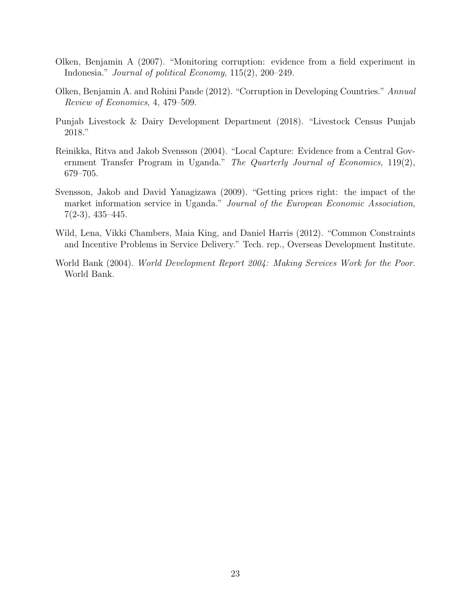- Olken, Benjamin A (2007). "Monitoring corruption: evidence from a field experiment in Indonesia." Journal of political Economy, 115(2), 200–249.
- Olken, Benjamin A. and Rohini Pande (2012). "Corruption in Developing Countries." Annual Review of Economics, 4, 479–509.
- Punjab Livestock & Dairy Development Department (2018). "Livestock Census Punjab 2018."
- Reinikka, Ritva and Jakob Svensson (2004). "Local Capture: Evidence from a Central Government Transfer Program in Uganda." The Quarterly Journal of Economics, 119(2), 679–705.
- Svensson, Jakob and David Yanagizawa (2009). "Getting prices right: the impact of the market information service in Uganda." Journal of the European Economic Association,  $7(2-3), 435-445.$
- Wild, Lena, Vikki Chambers, Maia King, and Daniel Harris (2012). "Common Constraints and Incentive Problems in Service Delivery." Tech. rep., Overseas Development Institute.
- World Bank (2004). World Development Report 2004: Making Services Work for the Poor. World Bank.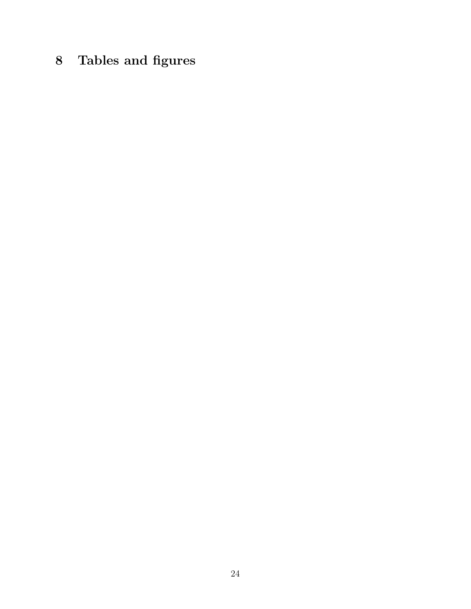# 8 Tables and figures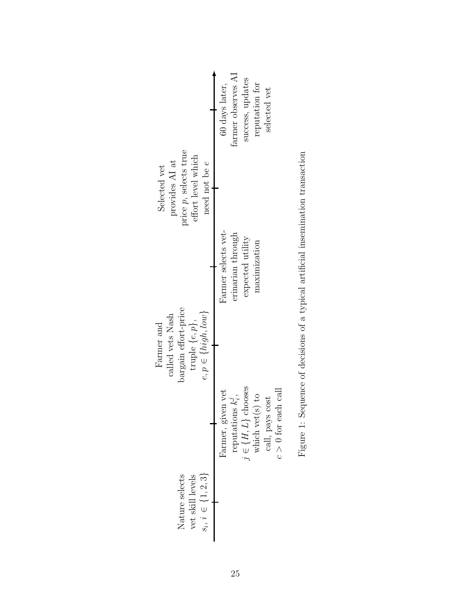|                                                                                                          | farmer observes AI<br>success, updates<br>reputation for<br>60 days later,<br>selected vet                                                                              |
|----------------------------------------------------------------------------------------------------------|-------------------------------------------------------------------------------------------------------------------------------------------------------------------------|
| price $p$ , selects true<br>effort level which<br>provides AI at<br>need not be $e$<br>Selected vet      | Farmer selects vet-<br>erinarian through<br>expected utility<br>maximization                                                                                            |
| bargain effort-price<br>$e, p \in \{high, low\}$<br>called vets Nash<br>truple $\{e,p\}$ ,<br>Farmer and | $j \in \{H,L\}$ chooses which vet<br>(s) to<br>Farmer, given vet<br>$c > 0$ for each call<br>reputations $k_i^j$ ,<br>$\operatorname{call},$ pays $\operatorname{cost}$ |
| $s_i, i \in \{1, 2, 3\}$<br>Nature selects<br>vet skill levels                                           |                                                                                                                                                                         |

| Listen Listen Listen of denote of the first of the first of the control increase of the Listen Listen Listen Listen of the control of the control of the control of the control of the control of the control of the control o |
|--------------------------------------------------------------------------------------------------------------------------------------------------------------------------------------------------------------------------------|
|                                                                                                                                                                                                                                |
|                                                                                                                                                                                                                                |
|                                                                                                                                                                                                                                |
|                                                                                                                                                                                                                                |
|                                                                                                                                                                                                                                |
| Ò                                                                                                                                                                                                                              |
|                                                                                                                                                                                                                                |
| ĺ                                                                                                                                                                                                                              |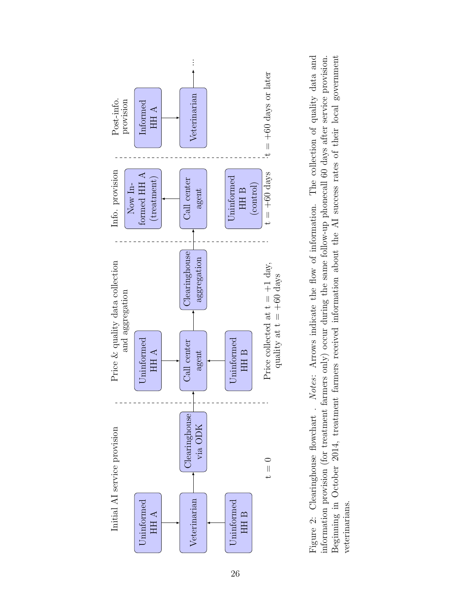

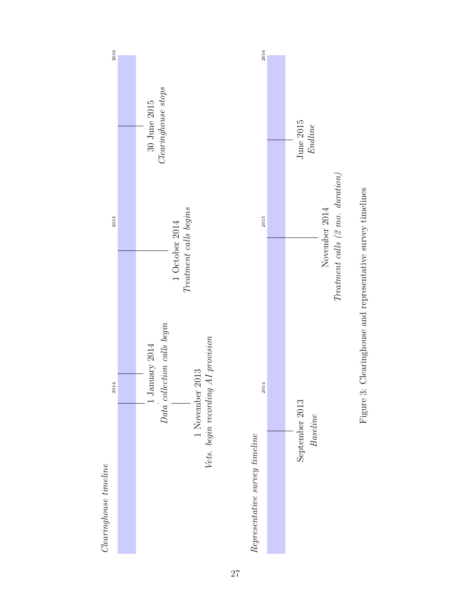



27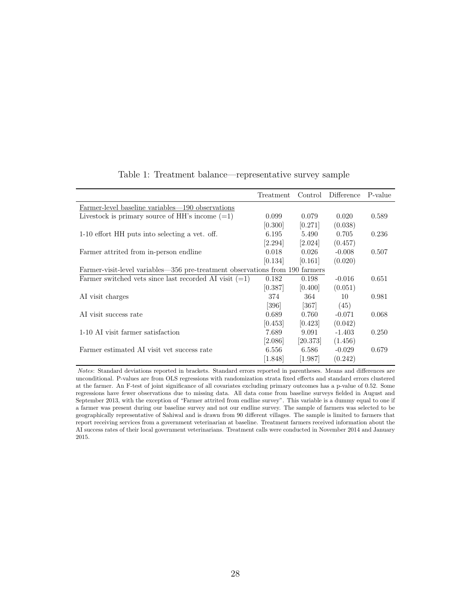|                                                                              | Treatment | Control               | Difference | P-value |
|------------------------------------------------------------------------------|-----------|-----------------------|------------|---------|
| Farmer-level baseline variables—190 observations                             |           |                       |            |         |
| Livestock is primary source of HH's income $(=1)$                            | 0.099     | 0.079                 | 0.020      | 0.589   |
|                                                                              | [0.300]   | [0.271]               | (0.038)    |         |
| 1-10 effort HH puts into selecting a vet. off.                               | 6.195     | 5.490                 | 0.705      | 0.236   |
|                                                                              | [2.294]   | 2.024                 | (0.457)    |         |
| Farmer attrited from in-person endline                                       | 0.018     | 0.026                 | $-0.008$   | 0.507   |
|                                                                              | [0.134]   | [0.161]               | (0.020)    |         |
| Farmer-visit-level variables—356 pre-treatment observations from 190 farmers |           |                       |            |         |
| Farmer switched vets since last recorded AI visit $(=1)$                     | 0.182     | 0.198                 | $-0.016$   | 0.651   |
|                                                                              | [0.387]   | 0.400                 | (0.051)    |         |
| AI visit charges                                                             | 374       | 364                   | 10         | 0.981   |
|                                                                              | [396]     | [367]                 | (45)       |         |
| AI visit success rate                                                        | 0.689     | 0.760                 | $-0.071$   | 0.068   |
|                                                                              | [0.453]   | 0.423                 | (0.042)    |         |
| 1-10 AI visit farmer satisfaction                                            | 7.689     | 9.091                 | $-1.403$   | 0.250   |
|                                                                              | [2.086]   | [20.373]              | (1.456)    |         |
| Farmer estimated AI visit vet success rate                                   | 6.556     | 6.586                 | $-0.029$   | 0.679   |
|                                                                              | [1.848]   | $\left[ 1.987\right]$ | (0.242)    |         |

#### Table 1: Treatment balance—representative survey sample

Notes: Standard deviations reported in brackets. Standard errors reported in parentheses. Means and differences are unconditional. P-values are from OLS regressions with randomization strata fixed effects and standard errors clustered at the farmer. An F-test of joint significance of all covariates excluding primary outcomes has a p-value of 0.52. Some regressions have fewer observations due to missing data. All data come from baseline surveys fielded in August and September 2013, with the exception of "Farmer attrited from endline survey". This variable is a dummy equal to one if a farmer was present during our baseline survey and not our endline survey. The sample of farmers was selected to be geographically representative of Sahiwal and is drawn from 90 different villages. The sample is limited to farmers that report receiving services from a government veterinarian at baseline. Treatment farmers received information about the AI success rates of their local government veterinarians. Treatment calls were conducted in November 2014 and January 2015.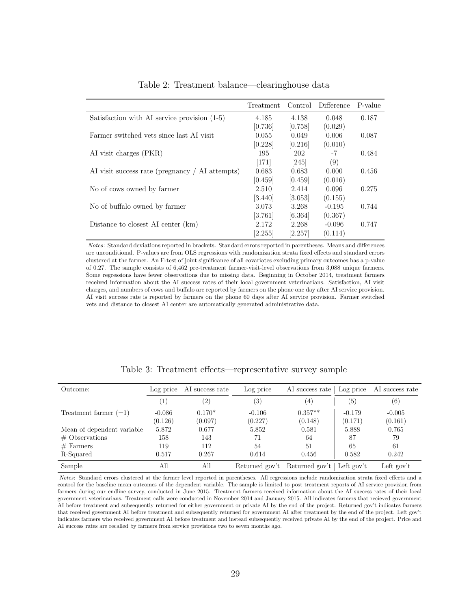|                                                 | Treatment | Control              | Difference | P-value |
|-------------------------------------------------|-----------|----------------------|------------|---------|
| Satisfaction with AI service provision (1-5)    | 4.185     | 4.138                | 0.048      | 0.187   |
|                                                 | [0.736]   | [0.758]              | (0.029)    |         |
| Farmer switched vets since last AI visit        | 0.055     | 0.049                | 0.006      | 0.087   |
|                                                 | [0.228]   | [0.216]              | (0.010)    |         |
| AI visit charges (PKR)                          | 195       | 202                  | $-7$       | 0.484   |
|                                                 | $[171]$   | [245]                | (9)        |         |
| AI visit success rate (pregnancy / AI attempts) | 0.683     | 0.683                | 0.000      | 0.456   |
|                                                 | [0.459]   | [0.459]              | (0.016)    |         |
| No of cows owned by farmer                      | 2.510     | 2.414                | 0.096      | 0.275   |
|                                                 | $[3.440]$ | $\left[3.053\right]$ | (0.155)    |         |
| No of buffalo owned by farmer                   | 3.073     | 3.268                | $-0.195$   | 0.744   |
|                                                 | [3.761]   | [6.364]              | (0.367)    |         |
| Distance to closest AI center (km)              | 2.172     | 2.268                | $-0.096$   | 0.747   |
|                                                 | [2.255]   | [2.257]              | (0.114)    |         |

Table 2: Treatment balance—clearinghouse data

Notes: Standard deviations reported in brackets. Standard errors reported in parentheses. Means and differences are unconditional. P-values are from OLS regressions with randomization strata fixed effects and standard errors clustered at the farmer. An F-test of joint significance of all covariates excluding primary outcomes has a p-value of 0.27. The sample consists of 6,462 pre-treatment farmer-visit-level observations from 3,088 unique farmers. Some regressions have fewer observations due to missing data. Beginning in October 2014, treatment farmers received information about the AI success rates of their local government veterinarians. Satisfaction, AI visit charges, and numbers of cows and buffalo are reported by farmers on the phone one day after AI service provision. AI visit success rate is reported by farmers on the phone 60 days after AI service provision. Farmer switched vets and distance to closest AI center are automatically generated administrative data.

| Outcome:                   | Log price        | AI success rate   | Log price         | AI success rate               | Log price  | AI success rate   |
|----------------------------|------------------|-------------------|-------------------|-------------------------------|------------|-------------------|
|                            | $\left  \right $ | $\left( 2\right)$ | $\left( 3\right)$ | $\left(4\right)$              | (5)        | $\left( 6\right)$ |
| Treatment farmer $(=1)$    | $-0.086$         | $0.170*$          | $-0.106$          | $0.357**$                     | $-0.179$   | $-0.005$          |
|                            | (0.126)          | (0.097)           | (0.227)           | (0.148)                       | (0.171)    | (0.161)           |
| Mean of dependent variable | 5.872            | 0.677             | 5.852             | 0.581                         | 5.888      | 0.765             |
| $#$ Observations           | 158              | 143               | 71                | 64                            | 87         | 79                |
| $#$ Farmers                | 119              | 112               | 54                | 51                            | 65         | 61                |
| R-Squared                  | 0.517            | 0.267             | 0.614             | 0.456                         | 0.582      | 0.242             |
| Sample                     | All              | All               |                   | Returned gov't Returned gov't | Left gov't | Left gov't        |

Table 3: Treatment effects—representative survey sample

Notes: Standard errors clustered at the farmer level reported in parentheses. All regressions include randomization strata fixed effects and a control for the baseline mean outcomes of the dependent variable. The sample is limited to post treatment reports of AI service provision from farmers during our endline survey, conducted in June 2015. Treatment farmers received information about the AI success rates of their local government veterinarians. Treatment calls were conducted in November 2014 and January 2015. All indicates farmers that recieved government AI before treatment and subsequently returned for either government or private AI by the end of the project. Returned gov't indicates farmers that received government AI before treatment and subsequently returned for government AI after treatment by the end of the project. Left gov't indicates farmers who received government AI before treatment and instead subsequently received private AI by the end of the project. Price and AI success rates are recalled by farmers from service provisions two to seven months ago.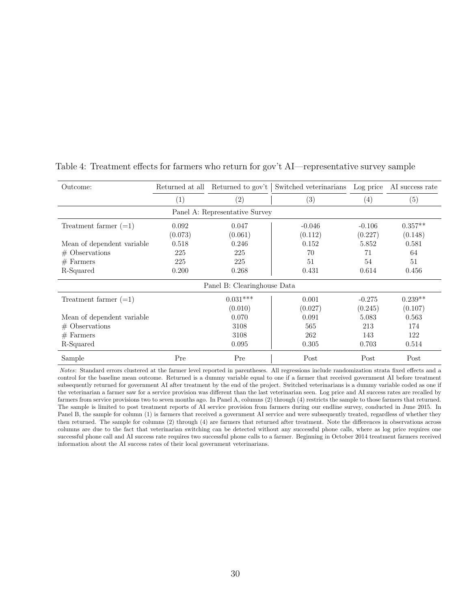| Outcome:                       |                  | Returned at all Returned to gov't | Switched veterinarians | Log price           | AI success rate      |  |  |  |
|--------------------------------|------------------|-----------------------------------|------------------------|---------------------|----------------------|--|--|--|
|                                | (1)              | (2)                               | (3)                    | (4)                 | (5)                  |  |  |  |
| Panel A: Representative Survey |                  |                                   |                        |                     |                      |  |  |  |
| Treatment farmer $(=1)$        | 0.092<br>(0.073) | 0.047<br>(0.061)                  | $-0.046$<br>(0.112)    | $-0.106$<br>(0.227) | $0.357**$<br>(0.148) |  |  |  |
| Mean of dependent variable     | 0.518            | 0.246                             | 0.152                  | 5.852               | 0.581                |  |  |  |
| $#$ Observations               | 225              | 225                               | 70                     | 71                  | 64                   |  |  |  |
| $#$ Farmers                    | 225              | 225                               | 51                     | 54                  | 51                   |  |  |  |
| R-Squared                      | 0.200            | 0.268                             | 0.431                  | 0.614               | 0.456                |  |  |  |
|                                |                  | Panel B: Clearinghouse Data       |                        |                     |                      |  |  |  |
| Treatment farmer $(=1)$        |                  | $0.031***$                        | 0.001                  | $-0.275$            | $0.239**$            |  |  |  |
|                                |                  | (0.010)                           | (0.027)                | (0.245)             | (0.107)              |  |  |  |
| Mean of dependent variable     |                  | 0.070                             | 0.091                  | 5.083               | 0.563                |  |  |  |
| $#$ Observations               |                  | 3108                              | 565                    | 213                 | 174                  |  |  |  |
| $#$ Farmers                    |                  | 3108                              | 262                    | 143                 | 122                  |  |  |  |
| R-Squared                      |                  | 0.095                             | 0.305                  | 0.703               | 0.514                |  |  |  |
| Sample                         | Pre              | Pre                               | Post                   | Post                | Post                 |  |  |  |

Table 4: Treatment effects for farmers who return for gov't AI—representative survey sample

Notes: Standard errors clustered at the farmer level reported in parentheses. All regressions include randomization strata fixed effects and a control for the baseline mean outcome. Returned is a dummy variable equal to one if a farmer that received government AI before treatment subsequently returned for government AI after treatment by the end of the project. Switched veterinarians is a dummy variable coded as one if the veterinarian a farmer saw for a service provision was different than the last veterinarian seen. Log price and AI success rates are recalled by farmers from service provisions two to seven months ago. In Panel A, columns (2) through (4) restricts the sample to those farmers that returned. The sample is limited to post treatment reports of AI service provision from farmers during our endline survey, conducted in June 2015. In Panel B, the sample for column (1) is farmers that received a government AI service and were subsequently treated, regardless of whether they then returned. The sample for columns (2) through (4) are farmers that returned after treatment. Note the differences in observations across columns are due to the fact that veterinarian switching can be detected without any successful phone calls, where as log price requires one successful phone call and AI success rate requires two successful phone calls to a farmer. Beginning in October 2014 treatment farmers received information about the AI success rates of their local government veterinarians.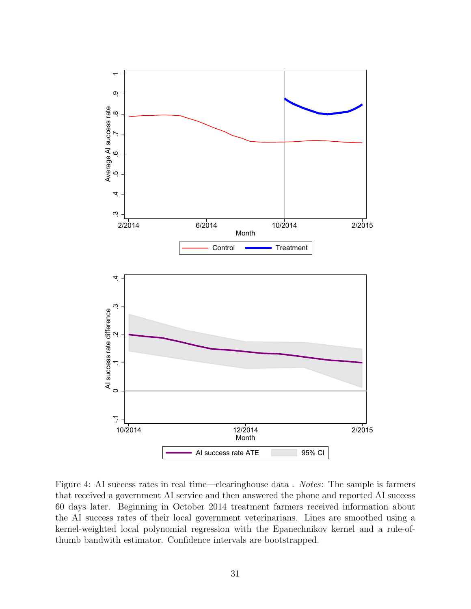

Figure 4: AI success rates in real time—clearinghouse data. *Notes*: The sample is farmers that received a government AI service and then answered the phone and reported AI success 60 days later. Beginning in October 2014 treatment farmers received information about the AI success rates of their local government veterinarians. Lines are smoothed using a kernel-weighted local polynomial regression with the Epanechnikov kernel and a rule-ofthumb bandwith estimator. Confidence intervals are bootstrapped.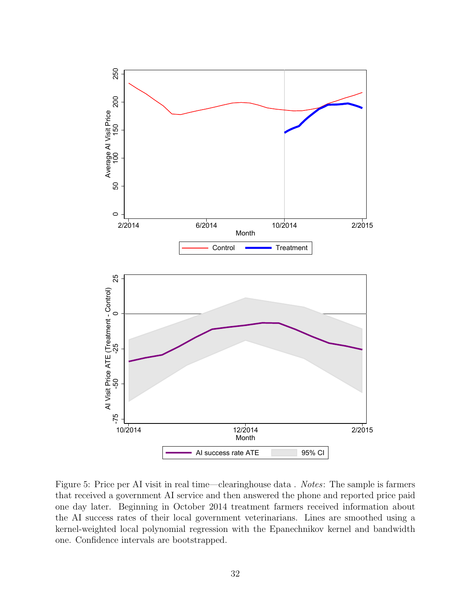

Figure 5: Price per AI visit in real time—clearinghouse data . Notes: The sample is farmers that received a government AI service and then answered the phone and reported price paid one day later. Beginning in October 2014 treatment farmers received information about the AI success rates of their local government veterinarians. Lines are smoothed using a kernel-weighted local polynomial regression with the Epanechnikov kernel and bandwidth one. Confidence intervals are bootstrapped.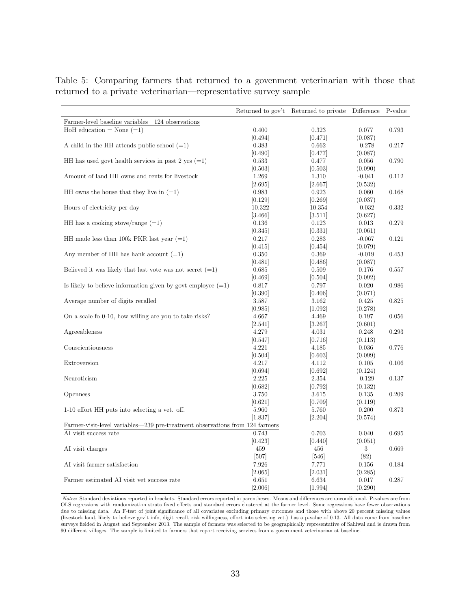|                                                                              |           | Returned to gov't Returned to private | Difference | P-value |
|------------------------------------------------------------------------------|-----------|---------------------------------------|------------|---------|
| Farmer-level baseline variables—124 observations                             |           |                                       |            |         |
| HoH education = None $(=1)$                                                  | 0.400     | 0.323                                 | 0.077      | 0.793   |
|                                                                              | [0.494]   | [0.471]                               | (0.087)    |         |
| A child in the HH attends public school $(=1)$                               | 0.383     | 0.662                                 | $-0.278$   | 0.217   |
|                                                                              | [0.490]   | [0.477]                               | (0.087)    |         |
| HH has used govt health services in past 2 yrs $(=1)$                        | 0.533     | 0.477                                 | $0.056\,$  | 0.790   |
|                                                                              | [0.503]   | [0.503]                               | (0.090)    |         |
| Amount of land HH owns and rents for livestock                               | 1.269     | 1.310                                 | $-0.041$   | 0.112   |
|                                                                              | [2.695]   | [2.667]                               | (0.532)    |         |
| HH owns the house that they live in $(=1)$                                   | 0.983     | 0.923                                 | 0.060      | 0.168   |
|                                                                              | [0.129]   | [0.269]                               | (0.037)    |         |
| Hours of electricity per day                                                 | 10.322    | 10.354                                | $-0.032$   | 0.332   |
|                                                                              | [3.466]   | [3.511]                               | (0.627)    |         |
| HH has a cooking stove/range $(=1)$                                          | 0.136     | 0.123                                 | 0.013      | 0.279   |
|                                                                              | [0.345]   | [0.331]                               | (0.061)    |         |
| HH made less than 100k PKR last year $(=1)$                                  | 0.217     | 0.283                                 | $-0.067$   | 0.121   |
|                                                                              | [0.415]   | [0.454]                               | (0.079)    |         |
| Any member of HH has hank account $(=1)$                                     | 0.350     | 0.369                                 | $-0.019$   | 0.453   |
|                                                                              | [0.481]   | [0.486]                               | (0.087)    |         |
| Believed it was likely that last vote was not secret $(=1)$                  | 0.685     | 0.509                                 | 0.176      | 0.557   |
|                                                                              | [0.469]   | [0.504]                               | (0.092)    |         |
| Is likely to believe information given by govt employee $(=1)$               | 0.817     | 0.797                                 | 0.020      | 0.986   |
|                                                                              | [0.390]   | [0.406]                               | (0.071)    |         |
| Average number of digits recalled                                            | 3.587     | 3.162                                 | 0.425      | 0.825   |
|                                                                              |           |                                       |            |         |
|                                                                              | [0.985]   | [1.092]                               | (0.278)    |         |
| On a scale fo 0-10, how willing are you to take risks?                       | 4.667     | 4.469                                 | 0.197      | 0.056   |
|                                                                              | [2.541]   | 3.267                                 | (0.601)    |         |
| Agreeableness                                                                | 4.279     | 4.031                                 | $0.248\,$  | 0.293   |
|                                                                              | [0.547]   | [0.716]                               | (0.113)    |         |
| Conscientiousness                                                            | 4.221     | 4.185                                 | 0.036      | 0.776   |
|                                                                              | [0.504]   | [0.603]                               | (0.099)    |         |
| Extroversion                                                                 | 4.217     | 4.112                                 | 0.105      | 0.106   |
|                                                                              | [0.694]   | [0.692]                               | (0.124)    |         |
| Neuroticism                                                                  | 2.225     | 2.354                                 | $-0.129$   | 0.137   |
|                                                                              | [0.682]   | [0.792]                               | (0.132)    |         |
| Openness                                                                     | 3.750     | 3.615                                 | 0.135      | 0.209   |
|                                                                              | [0.621]   | [0.709]                               | (0.119)    |         |
| 1-10 effort HH puts into selecting a vet. off.                               | 5.960     | 5.760                                 | 0.200      | 0.873   |
|                                                                              | [1.837]   | [2.204]                               | (0.574)    |         |
| Farmer-visit-level variables—239 pre-treatment observations from 124 farmers |           |                                       |            |         |
| AI visit success rate                                                        | 0.743     | 0.703                                 | 0.040      | 0.695   |
|                                                                              | [0.423]   | [0.440]                               | (0.051)    |         |
| AI visit charges                                                             | 459       | 456                                   | 3          | 0.669   |
|                                                                              | [507]     | $[546]$                               | (82)       |         |
| AI visit farmer satisfaction                                                 | 7.926     | 7.771                                 | 0.156      | 0.184   |
|                                                                              | [2.065]   | [2.031]                               | (0.285)    |         |
| Farmer estimated AI visit vet success rate                                   | $6.651\,$ | 6.634                                 | 0.017      | 0.287   |
|                                                                              | [2.006]   | [1.994]                               | (0.290)    |         |

Table 5: Comparing farmers that returned to a govenment veterinarian with those that returned to a private veterinarian—representative survey sample

Notes: Standard deviations reported in brackets. Standard errors reported in parentheses. Means and differences are unconditional. P-values are from OLS regressions with randomization strata fixed effects and standard errors clustered at the farmer level. Some regressions have fewer observations due to missing data. An F-test of joint significance of all covariates excluding primary outcomes and those with above 20 percent missing values (livestock land, likely to believe gov't info, digit recall, risk willingness, effort into selecting vet.) has a p-value of 0.13. All data come from baseline surveys fielded in August and September 2013. The sample of farmers was selected to be geographically representative of Sahiwal and is drawn from 90 different villages. The sample is limited to farmers that report receiving services from a government veterinarian at baseline.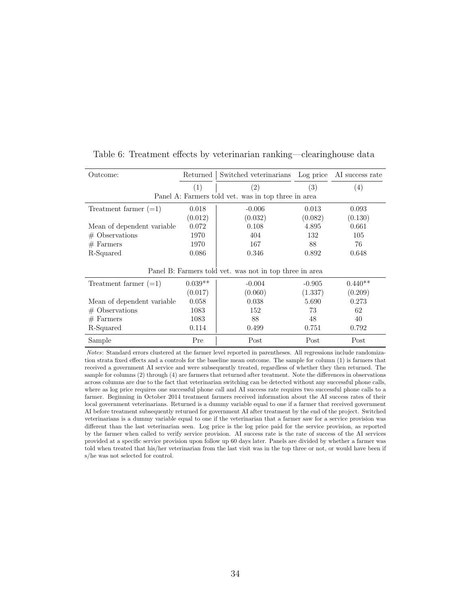| Outcome:                    | Returned  | Switched veterinarians Log price AI success rate        |          |           |
|-----------------------------|-----------|---------------------------------------------------------|----------|-----------|
|                             | (1)       | (2)                                                     | (3)      | (4)       |
|                             |           | Panel A: Farmers told vet. was in top three in area     |          |           |
| Treatment farmer $(=1)$     | 0.018     | $-0.006$                                                | 0.013    | 0.093     |
|                             | (0.012)   | (0.032)                                                 | (0.082)  | (0.130)   |
| Mean of dependent variable. | 0.072     | 0.108                                                   | 4.895    | 0.661     |
| $#$ Observations            | 1970      | 404                                                     | 132      | 105       |
| $#$ Farmers                 | 1970      | 167                                                     | 88       | 76        |
| R-Squared                   | 0.086     | 0.346                                                   | 0.892    | 0.648     |
|                             |           | Panel B: Farmers told vet. was not in top three in area |          |           |
| Treatment farmer $(=1)$     | $0.039**$ | $-0.004$                                                | $-0.905$ | $0.440**$ |
|                             | (0.017)   | (0.060)                                                 | (1.337)  | (0.209)   |
| Mean of dependent variable  | 0.058     | 0.038                                                   | 5.690    | 0.273     |
| $#$ Observations            | 1083      | 152                                                     | 73       | 62        |
| $#$ Farmers                 | 1083      | 88                                                      | 48       | 40        |
| R-Squared                   | 0.114     | 0.499                                                   | 0.751    | 0.792     |
| Sample                      | Pre       | Post                                                    | Post     | Post      |

Table 6: Treatment effects by veterinarian ranking—clearinghouse data

Notes: Standard errors clustered at the farmer level reported in parentheses. All regressions include randomization strata fixed effects and a controls for the baseline mean outcome. The sample for column (1) is farmers that received a government AI service and were subsequently treated, regardless of whether they then returned. The sample for columns (2) through (4) are farmers that returned after treatment. Note the differences in observations across columns are due to the fact that veterinarian switching can be detected without any successful phone calls, where as log price requires one successful phone call and AI success rate requires two successful phone calls to a farmer. Beginning in October 2014 treatment farmers received information about the AI success rates of their local government veterinarians. Returned is a dummy variable equal to one if a farmer that received government AI before treatment subsequently returned for government AI after treatment by the end of the project. Switched veterinarians is a dummy variable equal to one if the veterinarian that a farmer saw for a service provision was different than the last veterinarian seen. Log price is the log price paid for the service provision, as reported by the farmer when called to verify service provision. AI success rate is the rate of success of the AI services provided at a specific service provision upon follow up 60 days later. Panels are divided by whether a farmer was told when treated that his/her veterinarian from the last visit was in the top three or not, or would have been if s/he was not selected for control.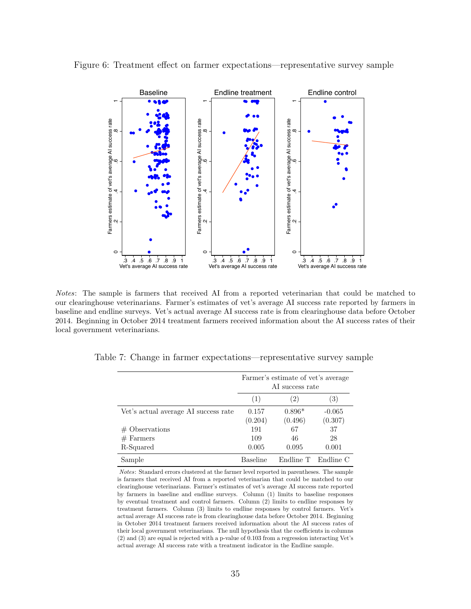

Figure 6: Treatment effect on farmer expectations—representative survey sample

Notes: The sample is farmers that received AI from a reported veterinarian that could be matched to our clearinghouse veterinarians. Farmer's estimates of vet's average AI success rate reported by farmers in baseline and endline surveys. Vet's actual average AI success rate is from clearinghouse data before October 2014. Beginning in October 2014 treatment farmers received information about the AI success rates of their local government veterinarians.

|                                      | Farmer's estimate of vet's average<br>AI success rate |           |           |  |
|--------------------------------------|-------------------------------------------------------|-----------|-----------|--|
|                                      | (1)                                                   | (2)       | (3)       |  |
| Vet's actual average AI success rate | 0.157                                                 | $0.896*$  | $-0.065$  |  |
|                                      | (0.204)                                               | (0.496)   | (0.307)   |  |
| $#$ Observations                     | 191                                                   | 67        | 37        |  |
| $#$ Farmers                          | 109                                                   | 46        | 28        |  |
| R-Squared                            | 0.005                                                 | 0.095     | 0.001     |  |
| Sample                               | <b>Baseline</b>                                       | Endline T | Endline C |  |

Table 7: Change in farmer expectations—representative survey sample

Notes: Standard errors clustered at the farmer level reported in parentheses. The sample is farmers that received AI from a reported veterinarian that could be matched to our clearinghouse veterinarians. Farmer's estimates of vet's average AI success rate reported by farmers in baseline and endline surveys. Column (1) limits to baseline responses by eventual treatment and control farmers. Column (2) limits to endline responses by treatment farmers. Column (3) limits to endline responses by control farmers. Vet's actual average AI success rate is from clearinghouse data before October 2014. Beginning in October 2014 treatment farmers received information about the AI success rates of their local government veterinarians. The null hypothesis that the coefficients in columns (2) and (3) are equal is rejected with a p-value of 0.103 from a regression interacting Vet's actual average AI success rate with a treatment indicator in the Endline sample.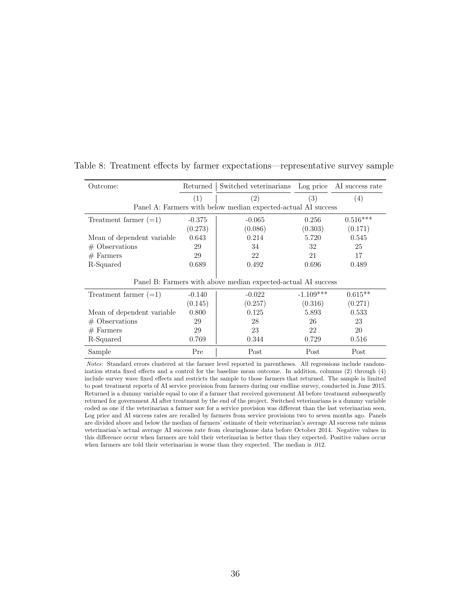| Outcome:                   | Returned                                                      | Switched veterinarians Log price AI success rate              |             |            |  |  |
|----------------------------|---------------------------------------------------------------|---------------------------------------------------------------|-------------|------------|--|--|
|                            | (1)                                                           | (2)                                                           | (3)         | (4)        |  |  |
|                            |                                                               | Panel A: Farmers with below median expected-actual AI success |             |            |  |  |
| Treatment farmer $(=1)$    | $-0.375$                                                      | $-0.065$                                                      | 0.256       | $0.516***$ |  |  |
|                            | (0.273)                                                       | (0.086)                                                       | (0.303)     | (0.171)    |  |  |
| Mean of dependent variable | 0.643                                                         | 0.214                                                         | 5.720       | 0.545      |  |  |
| $#$ Observations           | 29                                                            | 34                                                            | 32          | 25         |  |  |
| $#$ Farmers                | 29                                                            | 22                                                            | 21          | 17         |  |  |
| R-Squared                  | 0.689                                                         | 0.492                                                         | 0.696       | 0.489      |  |  |
|                            | Panel B: Farmers with above median expected-actual AI success |                                                               |             |            |  |  |
| Treatment farmer $(=1)$    | $-0.140$                                                      | $-0.022$                                                      | $-1.109***$ | $0.615**$  |  |  |
|                            | (0.145)                                                       | (0.257)                                                       | (0.316)     | (0.271)    |  |  |
| Mean of dependent variable | 0.800                                                         | 0.125                                                         | 5.893       | 0.533      |  |  |
| $#$ Observations           | 29                                                            | 28                                                            | 26          | 23         |  |  |
| $#$ Farmers                | 29                                                            | 23                                                            | 22          | 20         |  |  |
| R-Squared                  | 0.769                                                         | 0.344                                                         | 0.729       | 0.516      |  |  |
| Sample                     | Pre                                                           | Post                                                          | Post        | Post       |  |  |

Table 8: Treatment effects by farmer expectations—representative survey sample

Notes: Standard errors clustered at the farmer level reported in parentheses. All regressions include randomization strata fixed effects and a control for the baseline mean outcome. In addition, columns (2) through (4) include survey wave fixed effects and restricts the sample to those farmers that returned. The sample is limited to post treatment reports of AI service provision from farmers during our endline survey, conducted in June 2015. Returned is a dummy variable equal to one if a farmer that received government AI before treatment subsequently returned for government AI after treatment by the end of the project. Switched veterinarians is a dummy variable coded as one if the veterinarian a farmer saw for a service provision was different than the last veterinarian seen. Log price and AI success rates are recalled by farmers from service provisions two to seven months ago. Panels are divided above and below the median of farmers' estimate of their veterinarian's average AI success rate minus veterinarian's actual average AI success rate from clearinghouse data before October 2014. Negative values in this difference occur when farmers are told their veterinarian is better than they expected. Positive values occur when farmers are told their veterinarian is worse than they expected. The median is .012.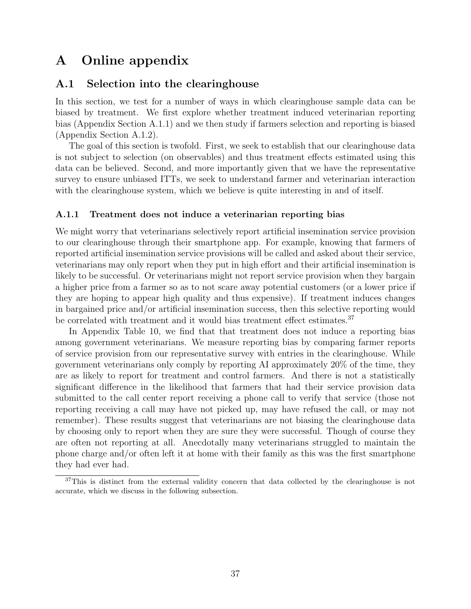# A Online appendix

### A.1 Selection into the clearinghouse

In this section, we test for a number of ways in which clearinghouse sample data can be biased by treatment. We first explore whether treatment induced veterinarian reporting bias (Appendix Section A.1.1) and we then study if farmers selection and reporting is biased (Appendix Section A.1.2).

The goal of this section is twofold. First, we seek to establish that our clearinghouse data is not subject to selection (on observables) and thus treatment effects estimated using this data can be believed. Second, and more importantly given that we have the representative survey to ensure unbiased ITTs, we seek to understand farmer and veterinarian interaction with the clearinghouse system, which we believe is quite interesting in and of itself.

#### A.1.1 Treatment does not induce a veterinarian reporting bias

We might worry that veterinarians selectively report artificial insemination service provision to our clearinghouse through their smartphone app. For example, knowing that farmers of reported artificial insemination service provisions will be called and asked about their service, veterinarians may only report when they put in high effort and their artificial insemination is likely to be successful. Or veterinarians might not report service provision when they bargain a higher price from a farmer so as to not scare away potential customers (or a lower price if they are hoping to appear high quality and thus expensive). If treatment induces changes in bargained price and/or artificial insemination success, then this selective reporting would be correlated with treatment and it would bias treatment effect estimates.<sup>37</sup>

In Appendix Table 10, we find that that treatment does not induce a reporting bias among government veterinarians. We measure reporting bias by comparing farmer reports of service provision from our representative survey with entries in the clearinghouse. While government veterinarians only comply by reporting AI approximately 20% of the time, they are as likely to report for treatment and control farmers. And there is not a statistically significant difference in the likelihood that farmers that had their service provision data submitted to the call center report receiving a phone call to verify that service (those not reporting receiving a call may have not picked up, may have refused the call, or may not remember). These results suggest that veterinarians are not biasing the clearinghouse data by choosing only to report when they are sure they were successful. Though of course they are often not reporting at all. Anecdotally many veterinarians struggled to maintain the phone charge and/or often left it at home with their family as this was the first smartphone they had ever had.

<sup>&</sup>lt;sup>37</sup>This is distinct from the external validity concern that data collected by the clearinghouse is not accurate, which we discuss in the following subsection.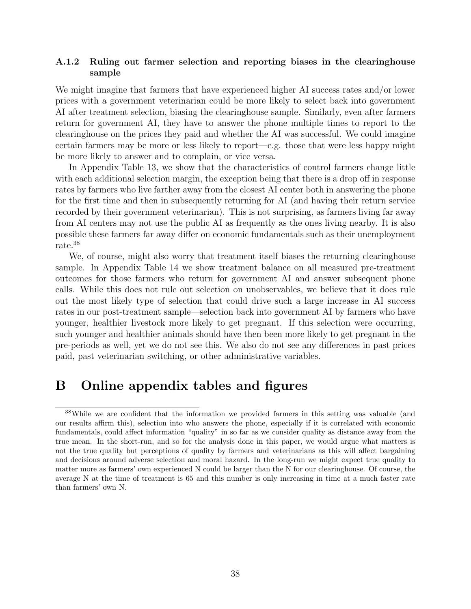#### A.1.2 Ruling out farmer selection and reporting biases in the clearinghouse sample

We might imagine that farmers that have experienced higher AI success rates and/or lower prices with a government veterinarian could be more likely to select back into government AI after treatment selection, biasing the clearinghouse sample. Similarly, even after farmers return for government AI, they have to answer the phone multiple times to report to the clearinghouse on the prices they paid and whether the AI was successful. We could imagine certain farmers may be more or less likely to report—e.g. those that were less happy might be more likely to answer and to complain, or vice versa.

In Appendix Table 13, we show that the characteristics of control farmers change little with each additional selection margin, the exception being that there is a drop off in response rates by farmers who live farther away from the closest AI center both in answering the phone for the first time and then in subsequently returning for AI (and having their return service recorded by their government veterinarian). This is not surprising, as farmers living far away from AI centers may not use the public AI as frequently as the ones living nearby. It is also possible these farmers far away differ on economic fundamentals such as their unemployment rate.<sup>38</sup>

We, of course, might also worry that treatment itself biases the returning clearinghouse sample. In Appendix Table 14 we show treatment balance on all measured pre-treatment outcomes for those farmers who return for government AI and answer subsequent phone calls. While this does not rule out selection on unobservables, we believe that it does rule out the most likely type of selection that could drive such a large increase in AI success rates in our post-treatment sample—selection back into government AI by farmers who have younger, healthier livestock more likely to get pregnant. If this selection were occurring, such younger and healthier animals should have then been more likely to get pregnant in the pre-periods as well, yet we do not see this. We also do not see any differences in past prices paid, past veterinarian switching, or other administrative variables.

### B Online appendix tables and figures

<sup>38</sup>While we are confident that the information we provided farmers in this setting was valuable (and our results affirm this), selection into who answers the phone, especially if it is correlated with economic fundamentals, could affect information "quality" in so far as we consider quality as distance away from the true mean. In the short-run, and so for the analysis done in this paper, we would argue what matters is not the true quality but perceptions of quality by farmers and veterinarians as this will affect bargaining and decisions around adverse selection and moral hazard. In the long-run we might expect true quality to matter more as farmers' own experienced N could be larger than the N for our clearinghouse. Of course, the average N at the time of treatment is 65 and this number is only increasing in time at a much faster rate than farmers' own N.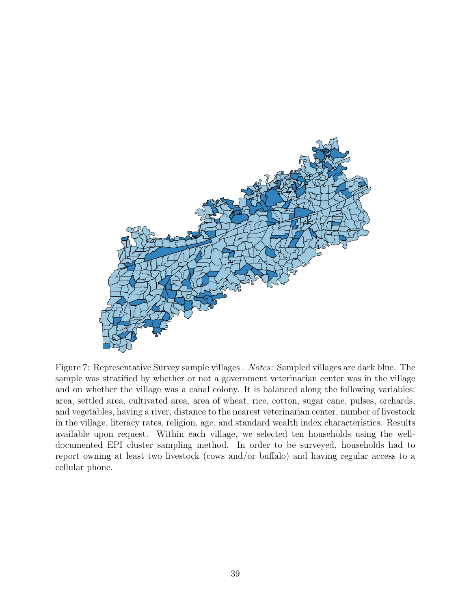

Figure 7: Representative Survey sample villages . Notes: Sampled villages are dark blue. The sample was stratified by whether or not a government veterinarian center was in the village and on whether the village was a canal colony. It is balanced along the following variables: area, settled area, cultivated area, area of wheat, rice, cotton, sugar cane, pulses, orchards, and vegetables, having a river, distance to the nearest veterinarian center, number of livestock in the village, literacy rates, religion, age, and standard wealth index characteristics. Results available upon request. Within each village, we selected ten households using the welldocumented EPI cluster sampling method. In order to be surveyed, households had to report owning at least two livestock (cows and/or buffalo) and having regular access to a cellular phone.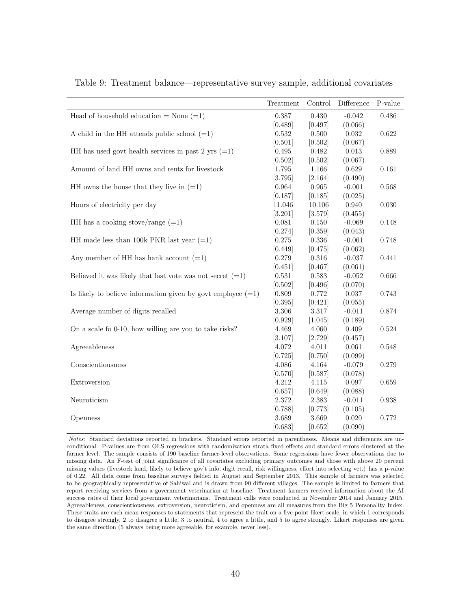|                                                                | Treatment | Control | Difference | P-value |
|----------------------------------------------------------------|-----------|---------|------------|---------|
| Head of household education = None $(=1)$                      | 0.387     | 0.430   | $-0.042$   | 0.486   |
|                                                                | [0.489]   | [0.497] | (0.066)    |         |
| A child in the HH attends public school $(=1)$                 | 0.532     | 0.500   | 0.032      | 0.622   |
|                                                                | [0.501]   | [0.502] | (0.067)    |         |
| HH has used govt health services in past 2 yrs $(=1)$          | 0.495     | 0.482   | 0.013      | 0.889   |
|                                                                | [0.502]   | [0.502] | (0.067)    |         |
| Amount of land HH owns and rents for livestock                 | 1.795     | 1.166   | 0.629      | 0.161   |
|                                                                | [3.795]   | [2.164] | (0.490)    |         |
| HH owns the house that they live in $(=1)$                     | 0.964     | 0.965   | $-0.001$   | 0.568   |
|                                                                | [0.187]   | [0.185] | (0.025)    |         |
| Hours of electricity per day                                   | 11.046    | 10.106  | 0.940      | 0.030   |
|                                                                | [3.201]   | [3.579] | (0.455)    |         |
| HH has a cooking stove/range $(=1)$                            | 0.081     | 0.150   | $-0.069$   | 0.148   |
|                                                                | [0.274]   | [0.359] | (0.043)    |         |
| HH made less than 100k PKR last year $(=1)$                    | 0.275     | 0.336   | $-0.061$   | 0.748   |
|                                                                | [0.449]   | [0.475] | (0.062)    |         |
| Any member of HH has hank account $(=1)$                       | 0.279     | 0.316   | $-0.037$   | 0.441   |
|                                                                | [0.451]   | [0.467] | (0.061)    |         |
| Believed it was likely that last vote was not secret $(=1)$    | 0.531     | 0.583   | $-0.052$   | 0.666   |
|                                                                | [0.502]   | [0.496] | (0.070)    |         |
| Is likely to believe information given by govt employee $(=1)$ | 0.809     | 0.772   | 0.037      | 0.743   |
|                                                                | [0.395]   | [0.421] | (0.055)    |         |
| Average number of digits recalled                              | $3.306\,$ | 3.317   | $-0.011$   | 0.874   |
|                                                                | [0.929]   | [1.045] | (0.189)    |         |
| On a scale fo 0-10, how willing are you to take risks?         | 4.469     | 4.060   | 0.409      | 0.524   |
|                                                                | [3.107]   | [2.729] | (0.457)    |         |
| Agreeableness                                                  | 4.072     | 4.011   | 0.061      | 0.548   |
|                                                                | [0.725]   | [0.750] | (0.099)    |         |
| Conscientiousness                                              | 4.086     | 4.164   | $-0.079$   | 0.279   |
|                                                                | [0.570]   | [0.587] | (0.078)    |         |
| Extroversion                                                   | 4.212     | 4.115   | 0.097      | 0.659   |
|                                                                | [0.657]   | [0.649] | (0.088)    |         |
| Neuroticism                                                    | 2.372     | 2.383   | $-0.011$   | 0.938   |
|                                                                | [0.788]   | [0.773] | (0.105)    |         |
| Openness                                                       | 3.689     | 3.669   | 0.020      | 0.772   |
|                                                                | [0.683]   | [0.652] | (0.090)    |         |

Table 9: Treatment balance—representative survey sample, additional covariates

Notes: Standard deviations reported in brackets. Standard errors reported in parentheses. Means and differences are unconditional. P-values are from OLS regressions with randomization strata fixed effects and standard errors clustered at the farmer level. The sample consists of 190 baseline farmer-level observations. Some regressions have fewer observations due to missing data. An F-test of joint significance of all covariates excluding primary outcomes and those with above 20 percent missing values (livestock land, likely to believe gov't info, digit recall, risk willingness, effort into selecting vet.) has a p-value of 0.22. All data come from baseline surveys fielded in August and September 2013. This sample of farmers was selected to be geographically representative of Sahiwal and is drawn from 90 different villages. The sample is limited to farmers that report receiving services from a government veterinarian at baseline. Treatment farmers received information about the AI success rates of their local government veterinarians. Treatment calls were conducted in November 2014 and January 2015. Agreeableness, conscientiousness, extroversion, neuroticism, and openness are all measures from the Big 5 Personality Index. These traits are each mean responses to statements that represent the trait on a five point likert scale, in which 1 corresponds to disagree strongly, 2 to disagree a little, 3 to neutral, 4 to agree a little, and 5 to agree strongly. Likert responses are given the same direction (5 always being more agreeable, for example, never less).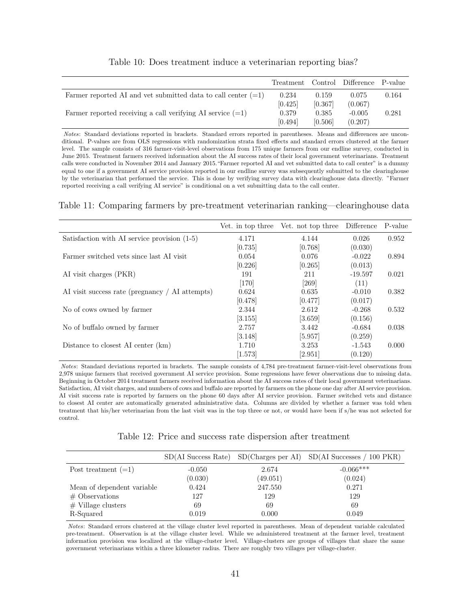|                                                                 |         |         | Treatment Control Difference P-value |       |
|-----------------------------------------------------------------|---------|---------|--------------------------------------|-------|
| Farmer reported AI and vet submitted data to call center $(=1)$ | 0.234   | 0.159   | 0.075                                | 0.164 |
|                                                                 | [0.425] | [0.367] | (0.067)                              |       |
| Farmer reported receiving a call verifying AI service $(=1)$    | 0.379   | 0.385   | $-0.005$                             | 0.281 |
|                                                                 | [0.494] | [0.506] | (0.207)                              |       |

|  | Table 10: Does treatment induce a veterinarian reporting bias? |  |  |  |
|--|----------------------------------------------------------------|--|--|--|
|  |                                                                |  |  |  |
|  |                                                                |  |  |  |

Notes: Standard deviations reported in brackets. Standard errors reported in parentheses. Means and differences are unconditional. P-values are from OLS regressions with randomization strata fixed effects and standard errors clustered at the farmer level. The sample consists of 316 farmer-visit-level observations from 175 unique farmers from our endline survey, conducted in June 2015. Treatment farmers received information about the AI success rates of their local government veterinarians. Treatment calls were conducted in November 2014 and January 2015."Farmer reported AI and vet submitted data to call center" is a dummy equal to one if a government AI service provision reported in our endline survey was subsequently submitted to the clearinghouse by the veterinarian that performed the service. This is done by verifying survey data with clearinghouse data directly. "Farmer reported receiving a call verifying AI service" is conditional on a vet submitting data to the call center.

#### Table 11: Comparing farmers by pre-treatment veterinarian ranking—clearinghouse data

|                                                 | Vet. in top three | Vet. not top three | Difference | P-value |
|-------------------------------------------------|-------------------|--------------------|------------|---------|
| Satisfaction with AI service provision $(1-5)$  | 4.171             | 4.144              | 0.026      | 0.952   |
|                                                 | [0.735]           | [0.768]            | (0.030)    |         |
| Farmer switched vets since last AI visit        | 0.054             | 0.076              | $-0.022$   | 0.894   |
|                                                 | [0.226]           | [0.265]            | (0.013)    |         |
| AI visit charges (PKR)                          | 191               | 211                | $-19.597$  | 0.021   |
|                                                 | $[170]$           | [269]              | (11)       |         |
| AI visit success rate (pregnancy / AI attempts) | 0.624             | 0.635              | $-0.010$   | 0.382   |
|                                                 | [0.478]           | [0.477]            | (0.017)    |         |
| No of cows owned by farmer                      | 2.344             | 2.612              | $-0.268$   | 0.532   |
|                                                 | [3.155]           | [3.659]            | (0.156)    |         |
| No of buffalo owned by farmer                   | 2.757             | 3.442              | $-0.684$   | 0.038   |
|                                                 | [3.148]           | [5.957]            | (0.259)    |         |
| Distance to closest AI center (km)              | 1.710             | 3.253              | $-1.543$   | 0.000   |
|                                                 | [1.573]           | [2.951]            | (0.120)    |         |

Notes: Standard deviations reported in brackets. The sample consists of 4,784 pre-treatment farmer-visit-level observations from 2,978 unique farmers that received government AI service provision. Some regressions have fewer observations due to missing data. Beginning in October 2014 treatment farmers received information about the AI success rates of their local government veterinarians. Satisfaction, AI visit charges, and numbers of cows and buffalo are reported by farmers on the phone one day after AI service provision. AI visit success rate is reported by farmers on the phone 60 days after AI service provision. Farmer switched vets and distance to closest AI center are automatically generated administrative data. Columns are divided by whether a farmer was told when treatment that his/her veterinarian from the last visit was in the top three or not, or would have been if s/he was not selected for control.

|                            |          |          | $SD(AI$ Success Rate) $SD(Charges)$ per AI) $SD(AI$ Successes / 100 PKR) |
|----------------------------|----------|----------|--------------------------------------------------------------------------|
| Post treatment $(=1)$      | $-0.050$ | 2.674    | $-0.066***$                                                              |
|                            | (0.030)  | (49.051) | (0.024)                                                                  |
| Mean of dependent variable | 0.424    | 247.550  | 0.271                                                                    |
| $\#$ Observations          | 127      | 129      | 129                                                                      |
| $#$ Village clusters       | 69       | 69       | 69                                                                       |
| R-Squared                  | 0.019    | 0.000    | 0.049                                                                    |

Notes: Standard errors clustered at the village cluster level reported in parentheses. Mean of dependent variable calculated pre-treatment. Observation is at the village cluster level. While we administered treatment at the farmer level, treatment information provision was localized at the village-cluster level. Village-clusters are groups of villages that share the same government veterinarians within a three kilometer radius. There are roughly two villages per village-cluster.